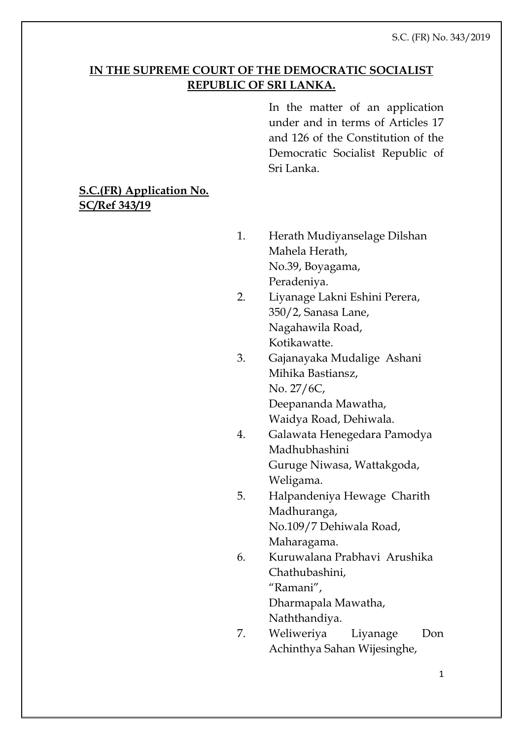## **IN THE SUPREME COURT OF THE DEMOCRATIC SOCIALIST REPUBLIC OF SRI LANKA.**

In the matter of an application under and in terms of Articles 17 and 126 of the Constitution of the Democratic Socialist Republic of Sri Lanka.

# **S.C.(FR) Application No. SC/Ref 343/19**

- 1. Herath Mudiyanselage Dilshan Mahela Herath, No.39, Boyagama, Peradeniya.
- 2. Liyanage Lakni Eshini Perera, 350/2, Sanasa Lane, Nagahawila Road, Kotikawatte.
- 3. Gajanayaka Mudalige Ashani Mihika Bastiansz, No. 27/6C, Deepananda Mawatha, Waidya Road, Dehiwala.
- 4. Galawata Henegedara Pamodya Madhubhashini Guruge Niwasa, Wattakgoda, Weligama.
- 5. Halpandeniya Hewage Charith Madhuranga, No.109/7 Dehiwala Road, Maharagama.
- 6. Kuruwalana Prabhavi Arushika Chathubashini, "Ramani",

Dharmapala Mawatha,

- Naththandiya.
- 7. Weliweriya Liyanage Don Achinthya Sahan Wijesinghe,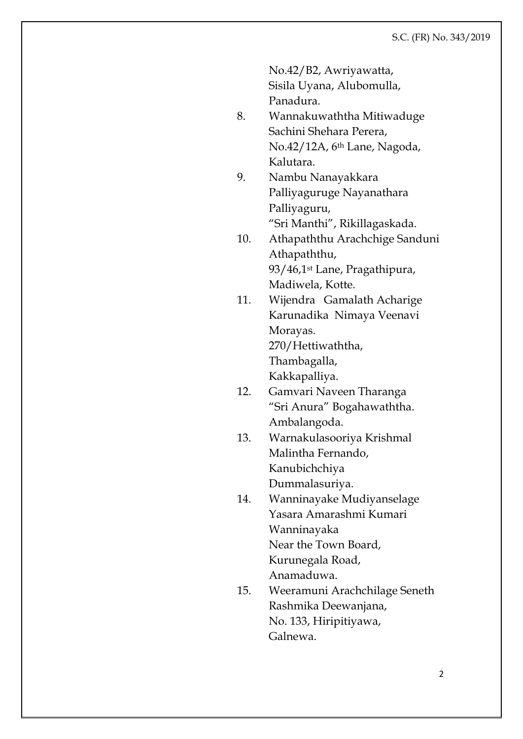No.42/B2, Awriyawatta,

Sisila Uyana, Alubomulla, Panadura.

- 8. Wannakuwaththa Mitiwaduge Sachini Shehara Perera, No.42/12A, 6th Lane, Nagoda, Kalutara.
- 9. Nambu Nanayakkara Palliyaguruge Nayanathara Palliyaguru, "Sri Manthi", Rikillagaskada.
- 10. Athapaththu Arachchige Sanduni Athapaththu, 93/46,1st Lane, Pragathipura, Madiwela, Kotte.
- 11. Wijendra Gamalath Acharige Karunadika Nimaya Veenavi Morayas. 270/Hettiwaththa, Thambagalla,

Kakkapalliya.

- 12. Gamvari Naveen Tharanga "Sri Anura" Bogahawaththa. Ambalangoda.
- 13. Warnakulasooriya Krishmal Malintha Fernando, Kanubichchiya

Dummalasuriya.

- 14. Wanninayake Mudiyanselage Yasara Amarashmi Kumari Wanninayaka Near the Town Board, Kurunegala Road, Anamaduwa.
- 15. Weeramuni Arachchilage Seneth Rashmika Deewanjana, No. 133, Hiripitiyawa, Galnewa.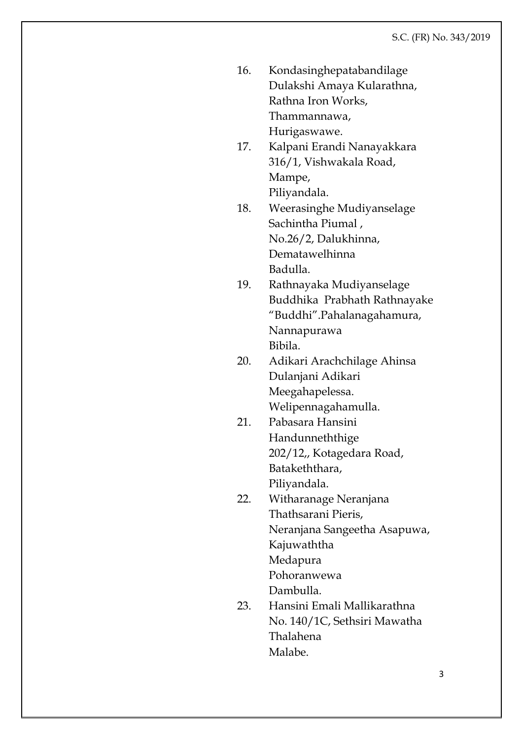| 16. | Kondasinghepatabandilage   |
|-----|----------------------------|
|     | Dulakshi Amaya Kularathna, |
|     | Rathna Iron Works,         |
|     | Thammannawa,               |
|     | Hurigaswawe.               |

- 17. Kalpani Erandi Nanayakkara 316/1, Vishwakala Road, Mampe, Piliyandala.
- 18. Weerasinghe Mudiyanselage Sachintha Piumal , No.26/2, Dalukhinna, Dematawelhinna Badulla.
- 19. Rathnayaka Mudiyanselage Buddhika Prabhath Rathnayake "Buddhi".Pahalanagahamura, Nannapurawa Bibila.
- 20. Adikari Arachchilage Ahinsa Dulanjani Adikari Meegahapelessa. Welipennagahamulla.
- 21. Pabasara Hansini Handunneththige 202/12,, Kotagedara Road, Batakeththara,
	- Piliyandala.
- 22. Witharanage Neranjana Thathsarani Pieris, Neranjana Sangeetha Asapuwa, Kajuwaththa Medapura Pohoranwewa Dambulla.
- 23. Hansini Emali Mallikarathna No. 140/1C, Sethsiri Mawatha Thalahena Malabe.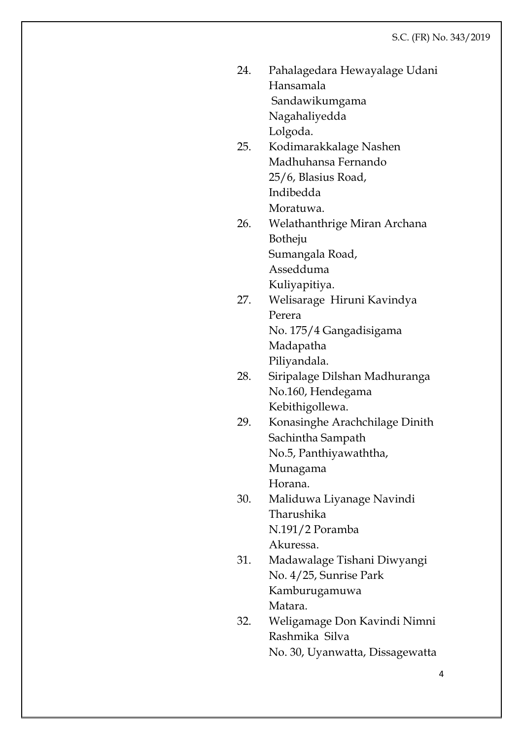- 24. Pahalagedara Hewayalage Udani Hansamala Sandawikumgama Nagahaliyedda Lolgoda.
- 25. Kodimarakkalage Nashen Madhuhansa Fernando 25/6, Blasius Road, Indibedda Moratuwa.
- 26. Welathanthrige Miran Archana Botheju Sumangala Road, Assedduma Kuliyapitiya.
- 27. Welisarage Hiruni Kavindya Perera No. 175/4 Gangadisigama Madapatha Piliyandala.
	- 28. Siripalage Dilshan Madhuranga No.160, Hendegama Kebithigollewa.
- 29. Konasinghe Arachchilage Dinith Sachintha Sampath No.5, Panthiyawaththa, Munagama Horana.
- 30. Maliduwa Liyanage Navindi Tharushika N.191/2 Poramba Akuressa.
- 31. Madawalage Tishani Diwyangi No. 4/25, Sunrise Park Kamburugamuwa Matara.
- 32. Weligamage Don Kavindi Nimni Rashmika Silva No. 30, Uyanwatta, Dissagewatta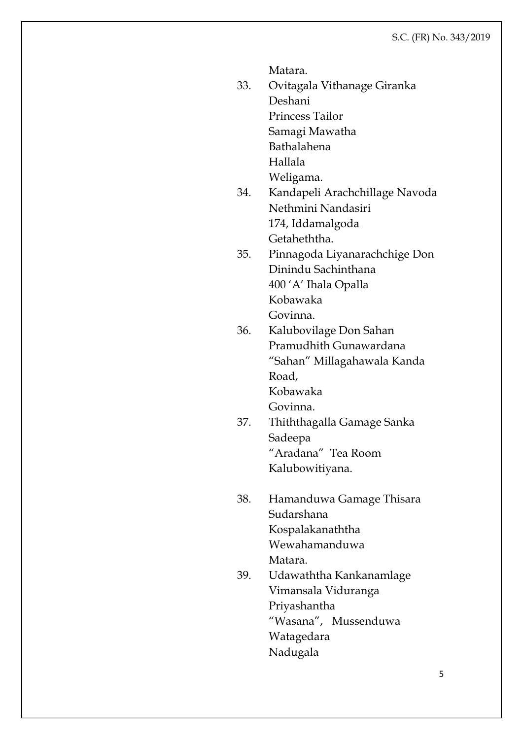Matara.

- 33. Ovitagala Vithanage Giranka Deshani Princess Tailor Samagi Mawatha Bathalahena Hallala
	- Weligama.
- 34. Kandapeli Arachchillage Navoda Nethmini Nandasiri 174, Iddamalgoda Getaheththa.
- 35. Pinnagoda Liyanarachchige Don Dinindu Sachinthana 400 'A' Ihala Opalla Kobawaka Govinna.
- 36. Kalubovilage Don Sahan Pramudhith Gunawardana "Sahan" Millagahawala Kanda Road, Kobawaka Govinna.
- 37. Thiththagalla Gamage Sanka Sadeepa "Aradana" Tea Room Kalubowitiyana.
- 38. Hamanduwa Gamage Thisara Sudarshana Kospalakanaththa Wewahamanduwa Matara.
- 39. Udawaththa Kankanamlage Vimansala Viduranga Priyashantha "Wasana", Mussenduwa Watagedara Nadugala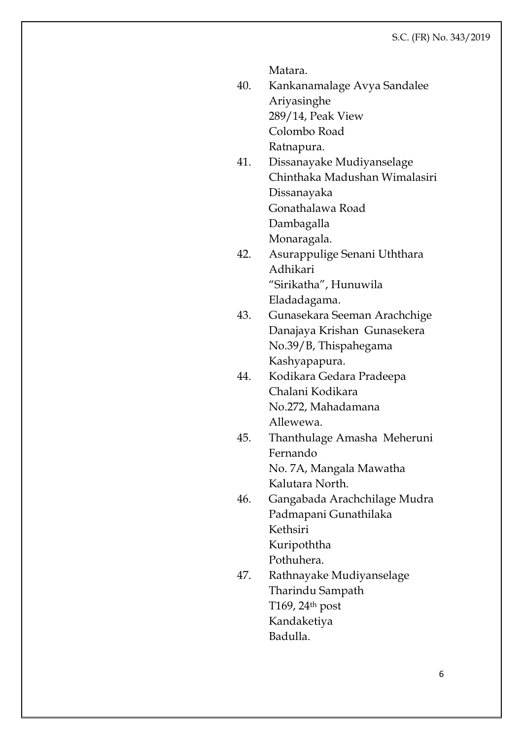Matara.

- 40. Kankanamalage Avya Sandalee Ariyasinghe 289/14, Peak View Colombo Road Ratnapura.
- 41. Dissanayake Mudiyanselage Chinthaka Madushan Wimalasiri Dissanayaka Gonathalawa Road Dambagalla

Monaragala.

- 42. Asurappulige Senani Uththara Adhikari "Sirikatha", Hunuwila Eladadagama.
- 43. Gunasekara Seeman Arachchige Danajaya Krishan Gunasekera No.39/B, Thispahegama Kashyapapura.
- 44. Kodikara Gedara Pradeepa Chalani Kodikara No.272, Mahadamana Allewewa.
- 45. Thanthulage Amasha Meheruni Fernando No. 7A, Mangala Mawatha
- Kalutara North. 46. Gangabada Arachchilage Mudra Padmapani Gunathilaka Kethsiri

Kuripoththa

Pothuhera.

47. Rathnayake Mudiyanselage Tharindu Sampath T169, 24th post Kandaketiya Badulla.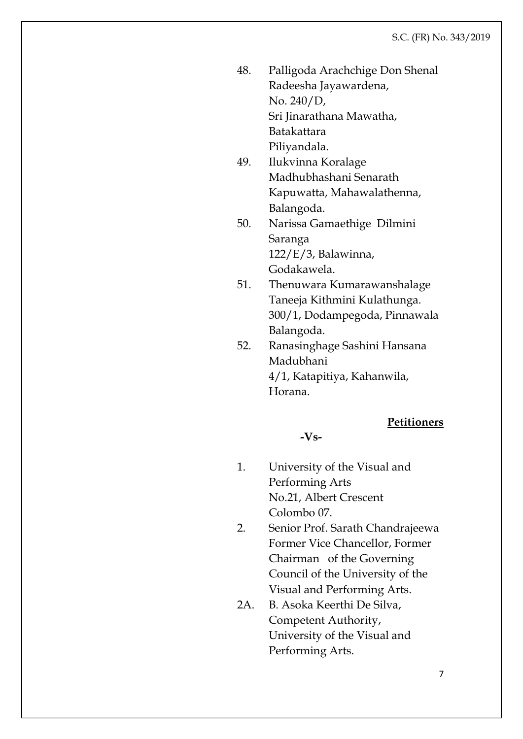48. Palligoda Arachchige Don Shenal Radeesha Jayawardena, No. 240/D, Sri Jinarathana Mawatha, Batakattara

Piliyandala. 49. Ilukvinna Koralage Madhubhashani Senarath Kapuwatta, Mahawalathenna, Balangoda.

- 50. Narissa Gamaethige Dilmini Saranga 122/E/3, Balawinna, Godakawela.
- 51. Thenuwara Kumarawanshalage Taneeja Kithmini Kulathunga. 300/1, Dodampegoda, Pinnawala Balangoda.
- 52. Ranasinghage Sashini Hansana Madubhani 4/1, Katapitiya, Kahanwila, Horana.

### **Petitioners**

**-Vs-**

- 1. University of the Visual and Performing Arts No.21, Albert Crescent Colombo 07.
- 2. Senior Prof. Sarath Chandrajeewa Former Vice Chancellor, Former Chairman of the Governing Council of the University of the Visual and Performing Arts.
- 2A. B. Asoka Keerthi De Silva, Competent Authority, University of the Visual and Performing Arts.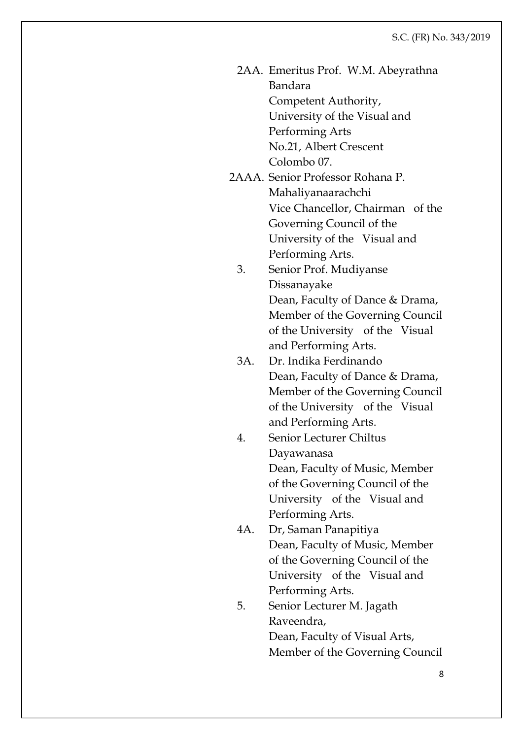- 2AA. Emeritus Prof. W.M. Abeyrathna Bandara Competent Authority, University of the Visual and Performing Arts No.21, Albert Crescent Colombo 07.
- 2AAA. Senior Professor Rohana P. Mahaliyanaarachchi Vice Chancellor, Chairman of the Governing Council of the University of the Visual and Performing Arts.
	- 3. Senior Prof. Mudiyanse Dissanayake Dean, Faculty of Dance & Drama, Member of the Governing Council of the University of the Visual and Performing Arts.
	- 3A. Dr. Indika Ferdinando Dean, Faculty of Dance & Drama, Member of the Governing Council of the University of the Visual and Performing Arts.
	- 4. Senior Lecturer Chiltus Dayawanasa Dean, Faculty of Music, Member of the Governing Council of the University of the Visual and Performing Arts.
	- 4A. Dr, Saman Panapitiya Dean, Faculty of Music, Member of the Governing Council of the University of the Visual and Performing Arts.
	- 5. Senior Lecturer M. Jagath Raveendra, Dean, Faculty of Visual Arts, Member of the Governing Council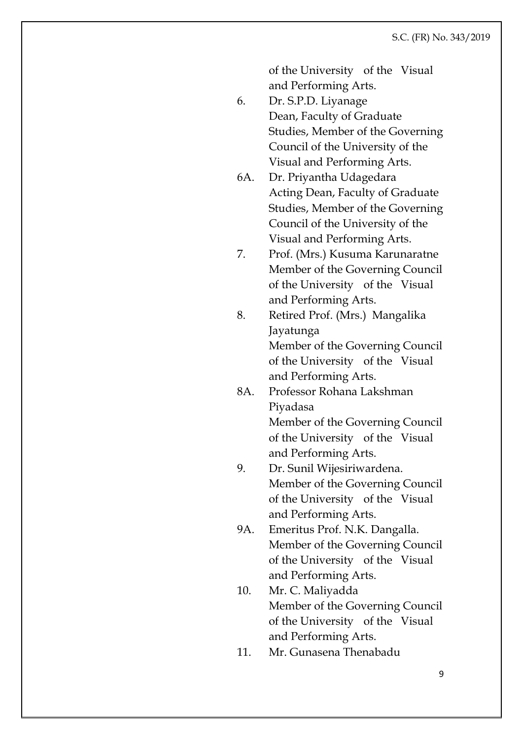of the University of the Visual and Performing Arts.

- 6. Dr. S.P.D. Liyanage Dean, Faculty of Graduate Studies, Member of the Governing Council of the University of the Visual and Performing Arts.
	- 6A. Dr. Priyantha Udagedara Acting Dean, Faculty of Graduate Studies, Member of the Governing Council of the University of the Visual and Performing Arts.
- 7. Prof. (Mrs.) Kusuma Karunaratne Member of the Governing Council of the University of the Visual and Performing Arts.
- 8. Retired Prof. (Mrs.) Mangalika Jayatunga Member of the Governing Council of the University of the Visual and Performing Arts.
- 8A. Professor Rohana Lakshman Piyadasa Member of the Governing Council of the University of the Visual and Performing Arts.
- 9. Dr. Sunil Wijesiriwardena. Member of the Governing Council of the University of the Visual and Performing Arts.
- 9A. Emeritus Prof. N.K. Dangalla. Member of the Governing Council of the University of the Visual and Performing Arts.
- 10. Mr. C. Maliyadda Member of the Governing Council of the University of the Visual and Performing Arts.
- 11. Mr. Gunasena Thenabadu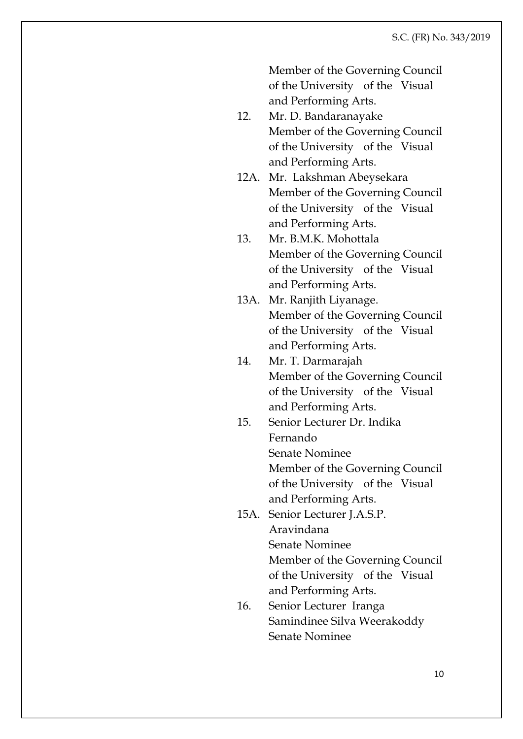Member of the Governing Council of the University of the Visual and Performing Arts.

- 12. Mr. D. Bandaranayake Member of the Governing Council of the University of the Visual and Performing Arts.
- 12A. Mr. Lakshman Abeysekara Member of the Governing Council of the University of the Visual and Performing Arts.
- 13. Mr. B.M.K. Mohottala Member of the Governing Council of the University of the Visual and Performing Arts.
- 13A. Mr. Ranjith Liyanage. Member of the Governing Council of the University of the Visual and Performing Arts.
- 14. Mr. T. Darmarajah Member of the Governing Council of the University of the Visual and Performing Arts.
- 15. Senior Lecturer Dr. Indika Fernando Senate Nominee Member of the Governing Council of the University of the Visual and Performing Arts.
- 15A. Senior Lecturer J.A.S.P. Aravindana Senate Nominee Member of the Governing Council of the University of the Visual and Performing Arts.
- 16. Senior Lecturer Iranga Samindinee Silva Weerakoddy Senate Nominee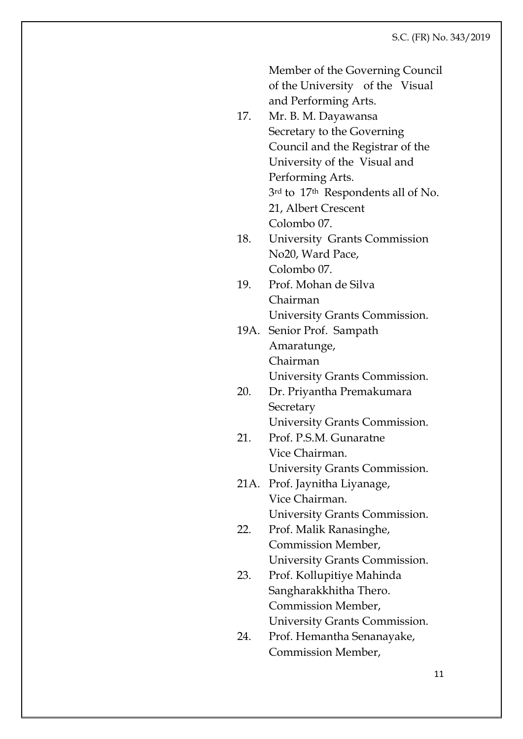|      | Member of the Governing Council<br>of the University of the Visual |
|------|--------------------------------------------------------------------|
|      | and Performing Arts.                                               |
| 17.  | Mr. B. M. Dayawansa                                                |
|      | Secretary to the Governing                                         |
|      | Council and the Registrar of the                                   |
|      | University of the Visual and                                       |
|      | Performing Arts.                                                   |
|      | 3rd to 17th Respondents all of No.                                 |
|      | 21, Albert Crescent                                                |
|      | Colombo 07.                                                        |
| 18.  | <b>University Grants Commission</b>                                |
|      | No20, Ward Pace,                                                   |
|      | Colombo 07.                                                        |
| 19.  | Prof. Mohan de Silva                                               |
|      | Chairman                                                           |
|      | University Grants Commission.                                      |
| 19A. | Senior Prof. Sampath                                               |
|      | Amaratunge,                                                        |
|      | Chairman                                                           |
|      | University Grants Commission.                                      |
| 20.  | Dr. Priyantha Premakumara                                          |
|      | Secretary                                                          |
|      | University Grants Commission.                                      |
| 21.  | Prof. P.S.M. Gunaratne                                             |
|      | Vice Chairman.                                                     |
|      | University Grants Commission.                                      |
| 21A. | Prof. Jaynitha Liyanage,                                           |
|      | Vice Chairman.                                                     |
|      | University Grants Commission.                                      |
| 22.  | Prof. Malik Ranasinghe,                                            |
|      | Commission Member,                                                 |
|      | University Grants Commission.                                      |
| 23.  | Prof. Kollupitiye Mahinda                                          |
|      | Sangharakkhitha Thero.                                             |
|      | Commission Member,                                                 |
|      | University Grants Commission.                                      |
| 24.  | Prof. Hemantha Senanayake,                                         |
|      | Commission Member,                                                 |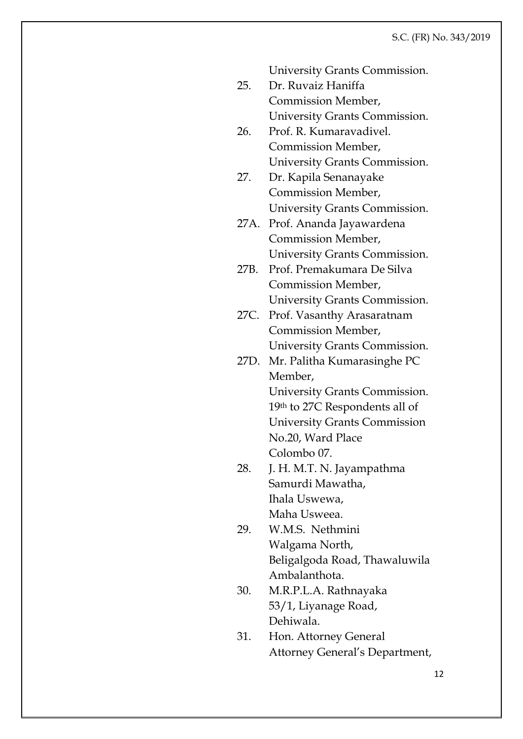University Grants Commission.

- 25. Dr. Ruvaiz Haniffa Commission Member, University Grants Commission.
- 26. Prof. R. Kumaravadivel. Commission Member, University Grants Commission.
- 27. Dr. Kapila Senanayake Commission Member, University Grants Commission.
- 27A. Prof. Ananda Jayawardena Commission Member, University Grants Commission.
- 27B. Prof. Premakumara De Silva Commission Member, University Grants Commission.
- 27C. Prof. Vasanthy Arasaratnam Commission Member, University Grants Commission.
- 27D. Mr. Palitha Kumarasinghe PC Member, University Grants Commission. 19th to 27C Respondents all of University Grants Commission No.20, Ward Place Colombo 07.
- 28. J. H. M.T. N. Jayampathma Samurdi Mawatha, Ihala Uswewa, Maha Usweea.
- 29. W.M.S. Nethmini Walgama North, Beligalgoda Road, Thawaluwila Ambalanthota.
- 30. M.R.P.L.A. Rathnayaka 53/1, Liyanage Road, Dehiwala.
- 31. Hon. Attorney General Attorney General's Department,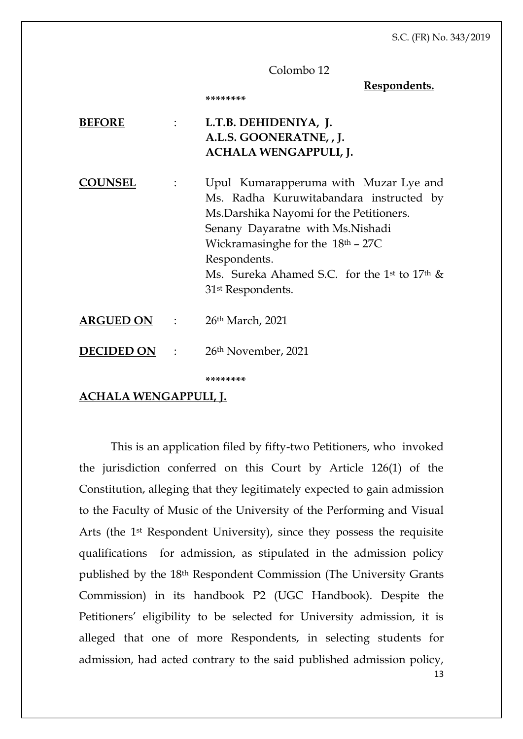#### Colombo 12

**Respondents.**

| BEFORE            | $\mathbb{R}^n$                                                     | L.T.B. DEHIDENIYA, J.<br>A.L.S. GOONERATNE, , J.<br><b>ACHALA WENGAPPULI, J.</b>                                                                                                                                                                                                                                                 |
|-------------------|--------------------------------------------------------------------|----------------------------------------------------------------------------------------------------------------------------------------------------------------------------------------------------------------------------------------------------------------------------------------------------------------------------------|
| <b>DUNSEL</b>     |                                                                    | Upul Kumarapperuma with Muzar Lye and<br>Ms. Radha Kuruwitabandara instructed by<br>Ms. Darshika Nayomi for the Petitioners.<br>Senany Dayaratne with Ms.Nishadi<br>Wickramasinghe for the $18th - 27C$<br>Respondents.<br>Ms. Sureka Ahamed S.C. for the 1 <sup>st</sup> to 17 <sup>th</sup> &<br>31 <sup>st</sup> Respondents. |
| <b>ARGUED ON</b>  | $\mathcal{L}^{\text{max}}$ . The set of $\mathcal{L}^{\text{max}}$ | $26th$ March, 2021                                                                                                                                                                                                                                                                                                               |
| <b>DECIDED ON</b> | $\sim 10^{-10}$ m $^{-1}$                                          | 26th November, 2021                                                                                                                                                                                                                                                                                                              |
|                   |                                                                    | ********                                                                                                                                                                                                                                                                                                                         |

**\*\*\*\*\*\*\*\***

#### **ACHALA WENGAPPULI, J.**

13 This is an application filed by fifty-two Petitioners, who invoked the jurisdiction conferred on this Court by Article 126(1) of the Constitution, alleging that they legitimately expected to gain admission to the Faculty of Music of the University of the Performing and Visual Arts (the 1st Respondent University), since they possess the requisite qualifications for admission, as stipulated in the admission policy published by the 18th Respondent Commission (The University Grants Commission) in its handbook P2 (UGC Handbook). Despite the Petitioners' eligibility to be selected for University admission, it is alleged that one of more Respondents, in selecting students for admission, had acted contrary to the said published admission policy,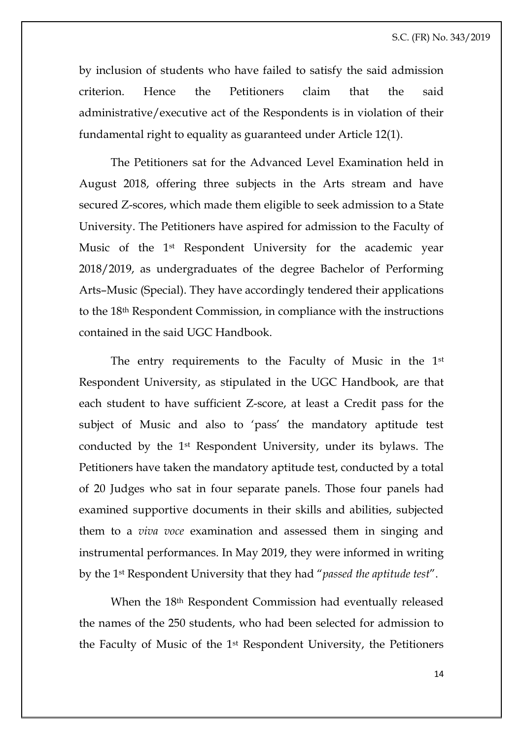by inclusion of students who have failed to satisfy the said admission criterion. Hence the Petitioners claim that the said administrative/executive act of the Respondents is in violation of their fundamental right to equality as guaranteed under Article 12(1).

The Petitioners sat for the Advanced Level Examination held in August 2018, offering three subjects in the Arts stream and have secured Z-scores, which made them eligible to seek admission to a State University. The Petitioners have aspired for admission to the Faculty of Music of the 1st Respondent University for the academic year 2018/2019, as undergraduates of the degree Bachelor of Performing Arts–Music (Special). They have accordingly tendered their applications to the 18th Respondent Commission, in compliance with the instructions contained in the said UGC Handbook.

The entry requirements to the Faculty of Music in the 1st Respondent University, as stipulated in the UGC Handbook, are that each student to have sufficient Z-score, at least a Credit pass for the subject of Music and also to 'pass' the mandatory aptitude test conducted by the 1st Respondent University, under its bylaws. The Petitioners have taken the mandatory aptitude test, conducted by a total of 20 Judges who sat in four separate panels. Those four panels had examined supportive documents in their skills and abilities, subjected them to a *viva voce* examination and assessed them in singing and instrumental performances. In May 2019, they were informed in writing by the 1st Respondent University that they had "*passed the aptitude test*".

When the 18th Respondent Commission had eventually released the names of the 250 students, who had been selected for admission to the Faculty of Music of the 1st Respondent University, the Petitioners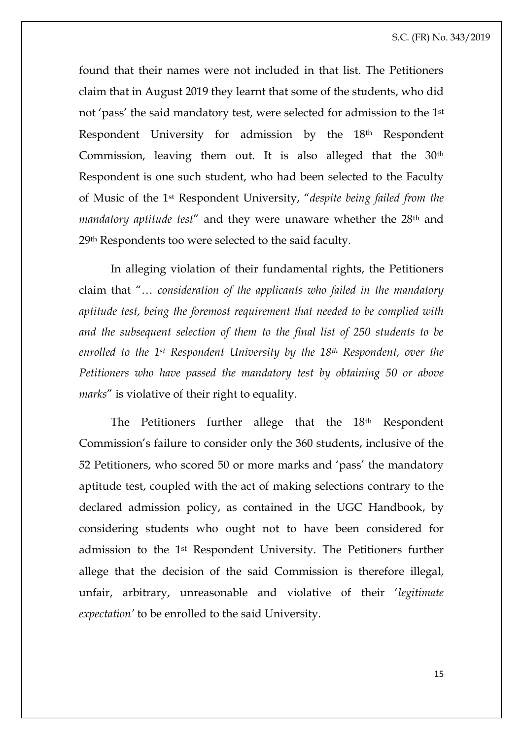found that their names were not included in that list. The Petitioners claim that in August 2019 they learnt that some of the students, who did not 'pass' the said mandatory test, were selected for admission to the 1st Respondent University for admission by the 18th Respondent Commission, leaving them out. It is also alleged that the 30<sup>th</sup> Respondent is one such student, who had been selected to the Faculty of Music of the 1st Respondent University, "*despite being failed from the mandatory aptitude test*" and they were unaware whether the 28th and 29th Respondents too were selected to the said faculty.

In alleging violation of their fundamental rights, the Petitioners claim that "… *consideration of the applicants who failed in the mandatory aptitude test, being the foremost requirement that needed to be complied with and the subsequent selection of them to the final list of 250 students to be enrolled to the 1st Respondent University by the 18th Respondent, over the Petitioners who have passed the mandatory test by obtaining 50 or above marks*" is violative of their right to equality.

The Petitioners further allege that the 18<sup>th</sup> Respondent Commission's failure to consider only the 360 students, inclusive of the 52 Petitioners, who scored 50 or more marks and 'pass' the mandatory aptitude test, coupled with the act of making selections contrary to the declared admission policy, as contained in the UGC Handbook, by considering students who ought not to have been considered for admission to the 1st Respondent University. The Petitioners further allege that the decision of the said Commission is therefore illegal, unfair, arbitrary, unreasonable and violative of their '*legitimate expectation'* to be enrolled to the said University.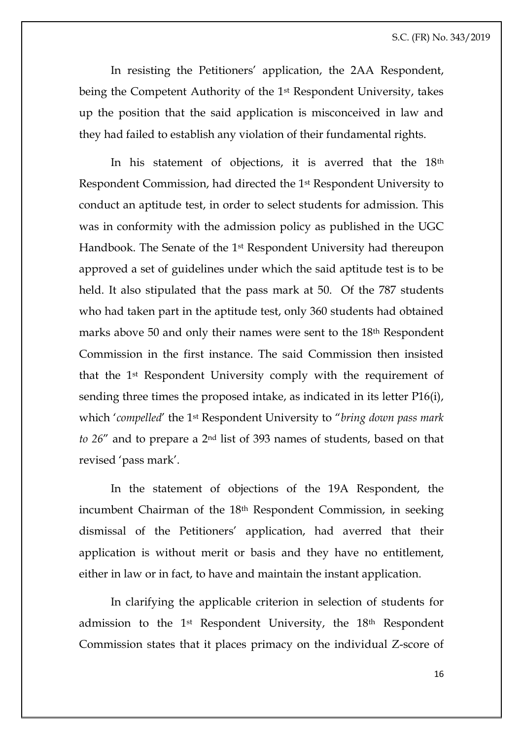In resisting the Petitioners' application, the 2AA Respondent, being the Competent Authority of the 1st Respondent University, takes up the position that the said application is misconceived in law and they had failed to establish any violation of their fundamental rights.

In his statement of objections, it is averred that the 18<sup>th</sup> Respondent Commission, had directed the 1st Respondent University to conduct an aptitude test, in order to select students for admission. This was in conformity with the admission policy as published in the UGC Handbook. The Senate of the 1st Respondent University had thereupon approved a set of guidelines under which the said aptitude test is to be held. It also stipulated that the pass mark at 50. Of the 787 students who had taken part in the aptitude test, only 360 students had obtained marks above 50 and only their names were sent to the 18th Respondent Commission in the first instance. The said Commission then insisted that the 1st Respondent University comply with the requirement of sending three times the proposed intake, as indicated in its letter P16(i), which '*compelled*' the 1st Respondent University to "*bring down pass mark to 26*" and to prepare a 2nd list of 393 names of students, based on that revised 'pass mark'.

In the statement of objections of the 19A Respondent, the incumbent Chairman of the 18<sup>th</sup> Respondent Commission, in seeking dismissal of the Petitioners' application, had averred that their application is without merit or basis and they have no entitlement, either in law or in fact, to have and maintain the instant application.

In clarifying the applicable criterion in selection of students for admission to the 1st Respondent University, the 18th Respondent Commission states that it places primacy on the individual Z-score of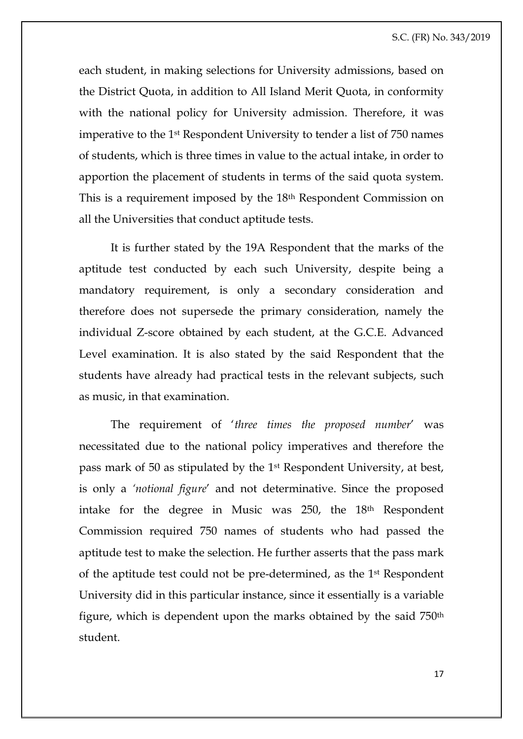each student, in making selections for University admissions, based on the District Quota, in addition to All Island Merit Quota, in conformity with the national policy for University admission. Therefore, it was imperative to the 1st Respondent University to tender a list of 750 names of students, which is three times in value to the actual intake, in order to apportion the placement of students in terms of the said quota system. This is a requirement imposed by the 18th Respondent Commission on all the Universities that conduct aptitude tests.

It is further stated by the 19A Respondent that the marks of the aptitude test conducted by each such University, despite being a mandatory requirement, is only a secondary consideration and therefore does not supersede the primary consideration, namely the individual Z-score obtained by each student, at the G.C.E. Advanced Level examination. It is also stated by the said Respondent that the students have already had practical tests in the relevant subjects, such as music, in that examination.

The requirement of '*three times the proposed number*' was necessitated due to the national policy imperatives and therefore the pass mark of 50 as stipulated by the 1st Respondent University, at best, is only a *'notional figure*' and not determinative. Since the proposed intake for the degree in Music was 250, the 18th Respondent Commission required 750 names of students who had passed the aptitude test to make the selection. He further asserts that the pass mark of the aptitude test could not be pre-determined, as the 1st Respondent University did in this particular instance, since it essentially is a variable figure, which is dependent upon the marks obtained by the said 750th student.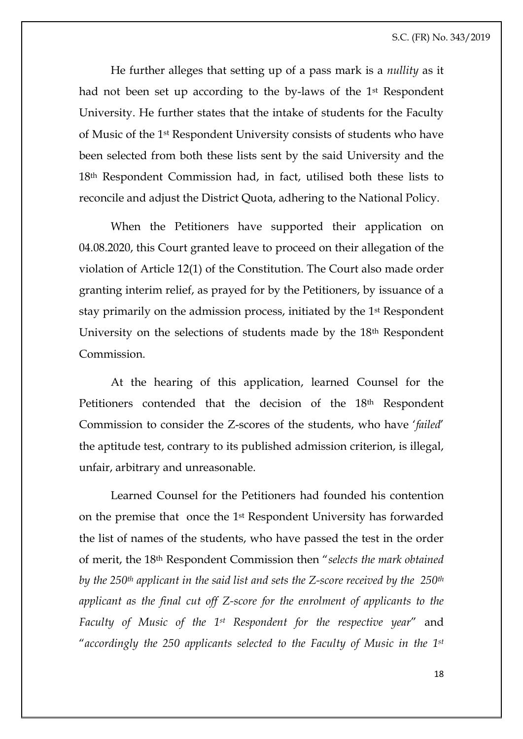He further alleges that setting up of a pass mark is a *nullity* as it had not been set up according to the by-laws of the 1st Respondent University. He further states that the intake of students for the Faculty of Music of the 1st Respondent University consists of students who have been selected from both these lists sent by the said University and the 18th Respondent Commission had, in fact, utilised both these lists to reconcile and adjust the District Quota, adhering to the National Policy.

When the Petitioners have supported their application on 04.08.2020, this Court granted leave to proceed on their allegation of the violation of Article 12(1) of the Constitution. The Court also made order granting interim relief, as prayed for by the Petitioners, by issuance of a stay primarily on the admission process, initiated by the 1st Respondent University on the selections of students made by the 18th Respondent Commission.

At the hearing of this application, learned Counsel for the Petitioners contended that the decision of the 18<sup>th</sup> Respondent Commission to consider the Z-scores of the students, who have '*failed*' the aptitude test, contrary to its published admission criterion, is illegal, unfair, arbitrary and unreasonable.

Learned Counsel for the Petitioners had founded his contention on the premise that once the 1st Respondent University has forwarded the list of names of the students, who have passed the test in the order of merit, the 18th Respondent Commission then "*selects the mark obtained by the 250th applicant in the said list and sets the Z-score received by the 250th applicant as the final cut off Z-score for the enrolment of applicants to the Faculty of Music of the 1st Respondent for the respective year*" and "*accordingly the 250 applicants selected to the Faculty of Music in the 1st*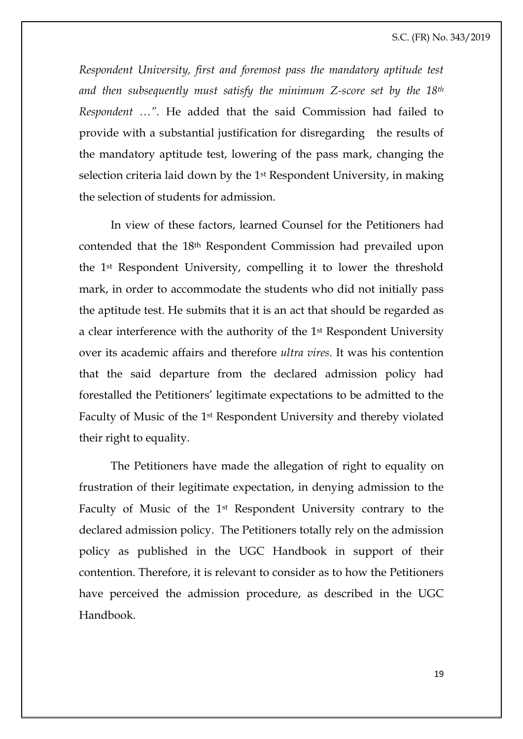*Respondent University, first and foremost pass the mandatory aptitude test and then subsequently must satisfy the minimum Z-score set by the 18th Respondent …".* He added that the said Commission had failed to provide with a substantial justification for disregarding the results of the mandatory aptitude test, lowering of the pass mark, changing the selection criteria laid down by the 1st Respondent University, in making the selection of students for admission.

In view of these factors, learned Counsel for the Petitioners had contended that the 18th Respondent Commission had prevailed upon the 1st Respondent University, compelling it to lower the threshold mark, in order to accommodate the students who did not initially pass the aptitude test. He submits that it is an act that should be regarded as a clear interference with the authority of the 1st Respondent University over its academic affairs and therefore *ultra vires*. It was his contention that the said departure from the declared admission policy had forestalled the Petitioners' legitimate expectations to be admitted to the Faculty of Music of the 1st Respondent University and thereby violated their right to equality.

The Petitioners have made the allegation of right to equality on frustration of their legitimate expectation, in denying admission to the Faculty of Music of the 1st Respondent University contrary to the declared admission policy. The Petitioners totally rely on the admission policy as published in the UGC Handbook in support of their contention. Therefore, it is relevant to consider as to how the Petitioners have perceived the admission procedure, as described in the UGC Handbook.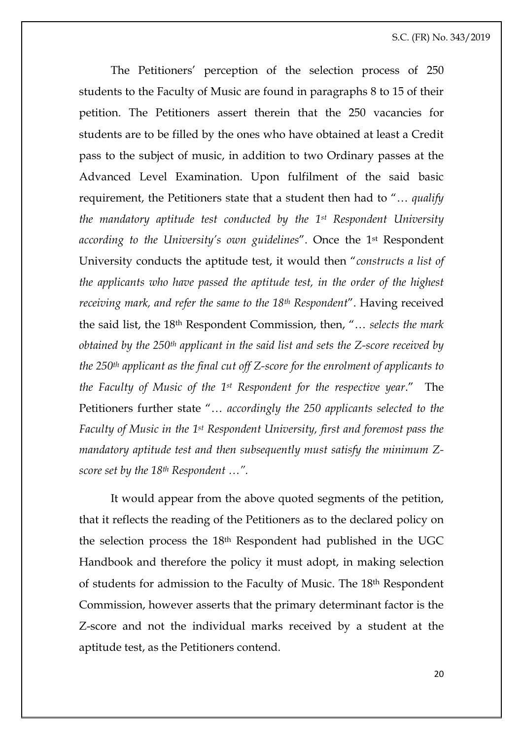The Petitioners' perception of the selection process of 250 students to the Faculty of Music are found in paragraphs 8 to 15 of their petition. The Petitioners assert therein that the 250 vacancies for students are to be filled by the ones who have obtained at least a Credit pass to the subject of music, in addition to two Ordinary passes at the Advanced Level Examination. Upon fulfilment of the said basic requirement, the Petitioners state that a student then had to "… *qualify the mandatory aptitude test conducted by the 1st Respondent University according to the University's own guidelines*". Once the 1st Respondent University conducts the aptitude test, it would then "*constructs a list of the applicants who have passed the aptitude test, in the order of the highest receiving mark, and refer the same to the 18th Respondent*". Having received the said list, the 18th Respondent Commission, then, "… *selects the mark obtained by the 250th applicant in the said list and sets the Z-score received by the 250th applicant as the final cut off Z-score for the enrolment of applicants to the Faculty of Music of the 1st Respondent for the respective year*." The Petitioners further state "… *accordingly the 250 applicants selected to the Faculty of Music in the 1st Respondent University, first and foremost pass the mandatory aptitude test and then subsequently must satisfy the minimum Zscore set by the 18th Respondent …".* 

It would appear from the above quoted segments of the petition, that it reflects the reading of the Petitioners as to the declared policy on the selection process the 18th Respondent had published in the UGC Handbook and therefore the policy it must adopt, in making selection of students for admission to the Faculty of Music. The 18th Respondent Commission, however asserts that the primary determinant factor is the Z-score and not the individual marks received by a student at the aptitude test, as the Petitioners contend.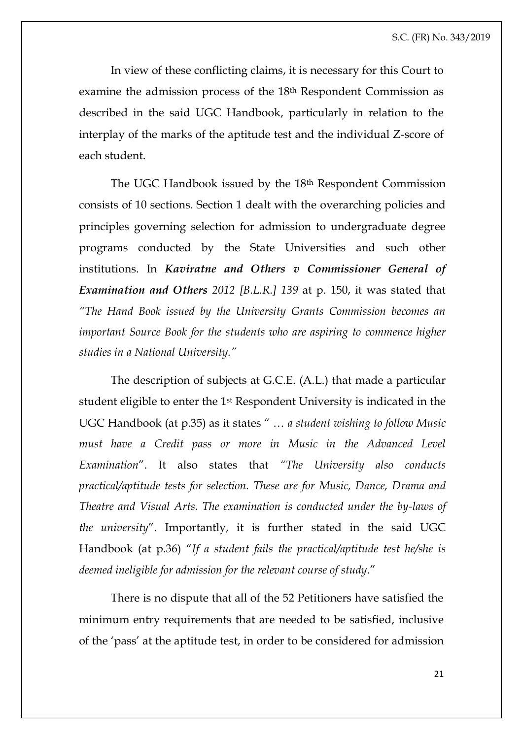In view of these conflicting claims, it is necessary for this Court to examine the admission process of the 18th Respondent Commission as described in the said UGC Handbook, particularly in relation to the interplay of the marks of the aptitude test and the individual Z-score of each student.

The UGC Handbook issued by the 18th Respondent Commission consists of 10 sections. Section 1 dealt with the overarching policies and principles governing selection for admission to undergraduate degree programs conducted by the State Universities and such other institutions. In *Kaviratne and Others v Commissioner General of Examination and Others 2012 [B.L.R.] 139* at p. 150, it was stated that *"The Hand Book issued by the University Grants Commission becomes an important Source Book for the students who are aspiring to commence higher studies in a National University."*

The description of subjects at G.C.E. (A.L.) that made a particular student eligible to enter the 1st Respondent University is indicated in the UGC Handbook (at p.35) as it states " … *a student wishing to follow Music*  must have a Credit pass or more in Music in the Advanced Level *Examination*". It also states that *"The University also conducts practical/aptitude tests for selection. These are for Music, Dance, Drama and Theatre and Visual Arts. The examination is conducted under the by-laws of the university*". Importantly, it is further stated in the said UGC Handbook (at p.36) "*If a student fails the practical/aptitude test he/she is deemed ineligible for admission for the relevant course of study*."

There is no dispute that all of the 52 Petitioners have satisfied the minimum entry requirements that are needed to be satisfied, inclusive of the 'pass' at the aptitude test, in order to be considered for admission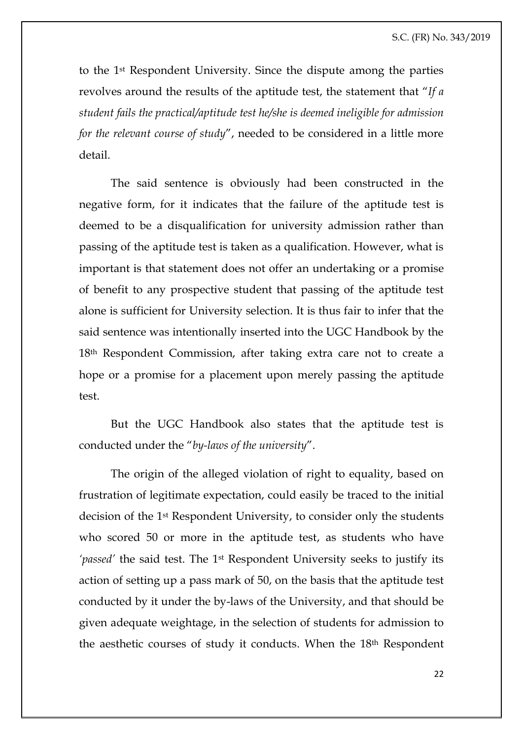to the 1st Respondent University. Since the dispute among the parties revolves around the results of the aptitude test, the statement that "*If a student fails the practical/aptitude test he/she is deemed ineligible for admission for the relevant course of study*", needed to be considered in a little more detail.

The said sentence is obviously had been constructed in the negative form, for it indicates that the failure of the aptitude test is deemed to be a disqualification for university admission rather than passing of the aptitude test is taken as a qualification. However, what is important is that statement does not offer an undertaking or a promise of benefit to any prospective student that passing of the aptitude test alone is sufficient for University selection. It is thus fair to infer that the said sentence was intentionally inserted into the UGC Handbook by the 18th Respondent Commission, after taking extra care not to create a hope or a promise for a placement upon merely passing the aptitude test.

But the UGC Handbook also states that the aptitude test is conducted under the "*by-laws of the university*".

The origin of the alleged violation of right to equality, based on frustration of legitimate expectation, could easily be traced to the initial decision of the 1st Respondent University, to consider only the students who scored 50 or more in the aptitude test, as students who have *'passed'* the said test. The 1st Respondent University seeks to justify its action of setting up a pass mark of 50, on the basis that the aptitude test conducted by it under the by-laws of the University, and that should be given adequate weightage, in the selection of students for admission to the aesthetic courses of study it conducts. When the 18th Respondent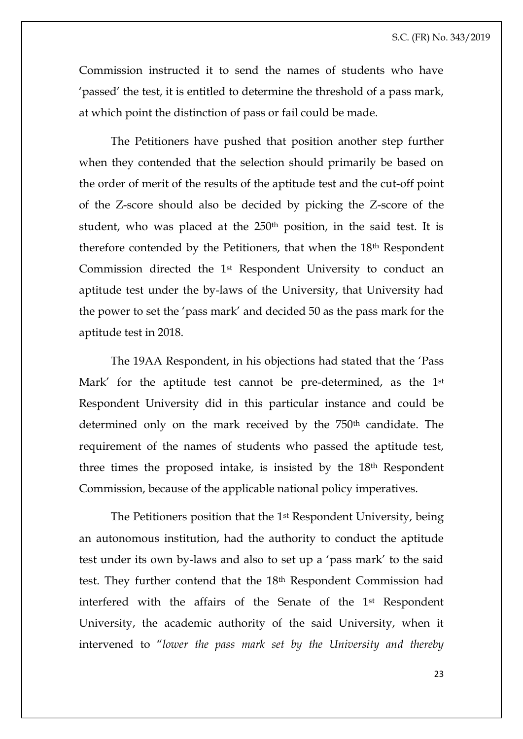Commission instructed it to send the names of students who have 'passed' the test, it is entitled to determine the threshold of a pass mark, at which point the distinction of pass or fail could be made.

The Petitioners have pushed that position another step further when they contended that the selection should primarily be based on the order of merit of the results of the aptitude test and the cut-off point of the Z-score should also be decided by picking the Z-score of the student, who was placed at the 250<sup>th</sup> position, in the said test. It is therefore contended by the Petitioners, that when the 18th Respondent Commission directed the 1st Respondent University to conduct an aptitude test under the by-laws of the University, that University had the power to set the 'pass mark' and decided 50 as the pass mark for the aptitude test in 2018.

The 19AA Respondent, in his objections had stated that the 'Pass Mark' for the aptitude test cannot be pre-determined, as the 1<sup>st</sup> Respondent University did in this particular instance and could be determined only on the mark received by the 750<sup>th</sup> candidate. The requirement of the names of students who passed the aptitude test, three times the proposed intake, is insisted by the 18th Respondent Commission, because of the applicable national policy imperatives.

The Petitioners position that the 1st Respondent University, being an autonomous institution, had the authority to conduct the aptitude test under its own by-laws and also to set up a 'pass mark' to the said test. They further contend that the 18th Respondent Commission had interfered with the affairs of the Senate of the 1st Respondent University, the academic authority of the said University, when it intervened to "*lower the pass mark set by the University and thereby*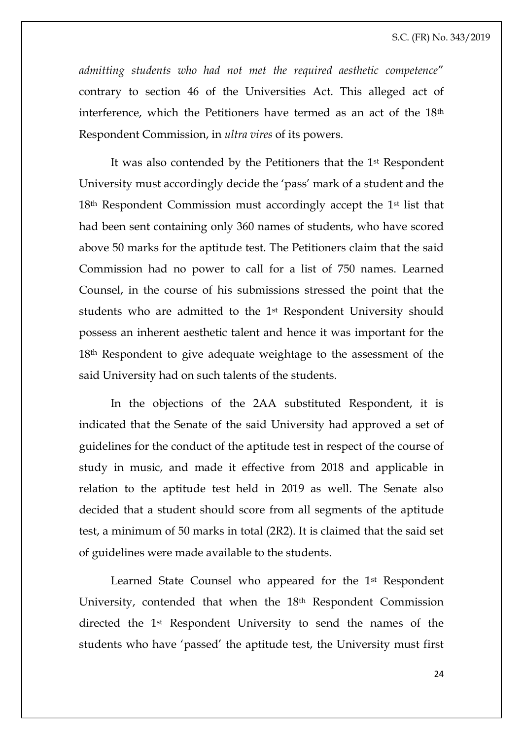*admitting students who had not met the required aesthetic competence*" contrary to section 46 of the Universities Act. This alleged act of interference, which the Petitioners have termed as an act of the 18th Respondent Commission, in *ultra vires* of its powers.

It was also contended by the Petitioners that the 1st Respondent University must accordingly decide the 'pass' mark of a student and the 18th Respondent Commission must accordingly accept the 1st list that had been sent containing only 360 names of students, who have scored above 50 marks for the aptitude test. The Petitioners claim that the said Commission had no power to call for a list of 750 names. Learned Counsel, in the course of his submissions stressed the point that the students who are admitted to the 1st Respondent University should possess an inherent aesthetic talent and hence it was important for the 18th Respondent to give adequate weightage to the assessment of the said University had on such talents of the students.

In the objections of the 2AA substituted Respondent, it is indicated that the Senate of the said University had approved a set of guidelines for the conduct of the aptitude test in respect of the course of study in music, and made it effective from 2018 and applicable in relation to the aptitude test held in 2019 as well. The Senate also decided that a student should score from all segments of the aptitude test, a minimum of 50 marks in total (2R2). It is claimed that the said set of guidelines were made available to the students.

Learned State Counsel who appeared for the 1st Respondent University, contended that when the 18th Respondent Commission directed the 1st Respondent University to send the names of the students who have 'passed' the aptitude test, the University must first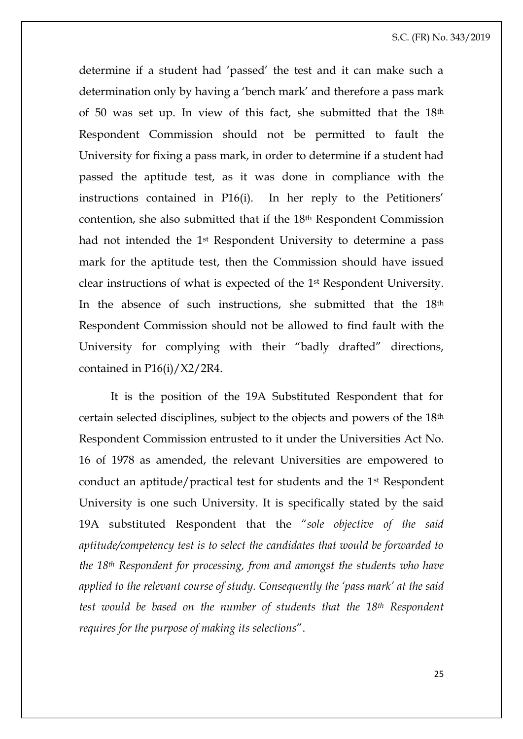determine if a student had 'passed' the test and it can make such a determination only by having a 'bench mark' and therefore a pass mark of 50 was set up. In view of this fact, she submitted that the 18th Respondent Commission should not be permitted to fault the University for fixing a pass mark, in order to determine if a student had passed the aptitude test, as it was done in compliance with the instructions contained in P16(i). In her reply to the Petitioners' contention, she also submitted that if the 18th Respondent Commission had not intended the 1st Respondent University to determine a pass mark for the aptitude test, then the Commission should have issued clear instructions of what is expected of the 1st Respondent University. In the absence of such instructions, she submitted that the 18th Respondent Commission should not be allowed to find fault with the University for complying with their "badly drafted" directions, contained in P16(i)/X2/2R4.

It is the position of the 19A Substituted Respondent that for certain selected disciplines, subject to the objects and powers of the 18th Respondent Commission entrusted to it under the Universities Act No. 16 of 1978 as amended, the relevant Universities are empowered to conduct an aptitude/practical test for students and the 1st Respondent University is one such University. It is specifically stated by the said 19A substituted Respondent that the "*sole objective of the said aptitude/competency test is to select the candidates that would be forwarded to the 18th Respondent for processing, from and amongst the students who have applied to the relevant course of study. Consequently the 'pass mark' at the said test would be based on the number of students that the 18th Respondent requires for the purpose of making its selections*".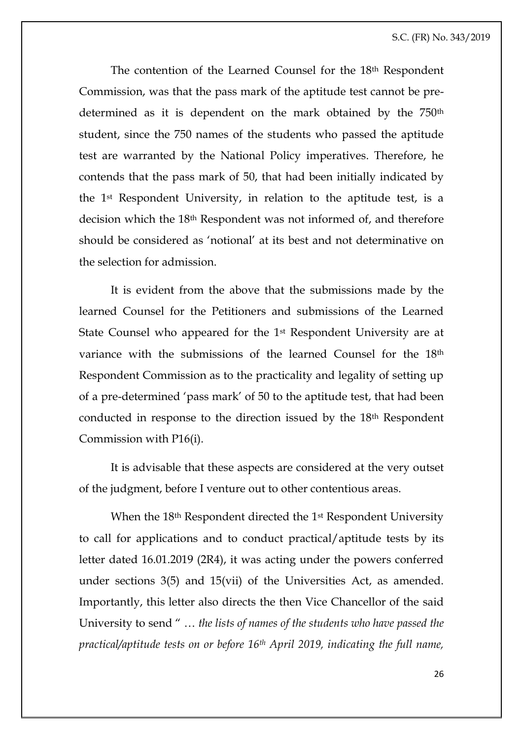The contention of the Learned Counsel for the 18th Respondent Commission, was that the pass mark of the aptitude test cannot be predetermined as it is dependent on the mark obtained by the 750<sup>th</sup> student, since the 750 names of the students who passed the aptitude test are warranted by the National Policy imperatives. Therefore, he contends that the pass mark of 50, that had been initially indicated by the 1st Respondent University, in relation to the aptitude test, is a decision which the 18th Respondent was not informed of, and therefore should be considered as 'notional' at its best and not determinative on the selection for admission.

It is evident from the above that the submissions made by the learned Counsel for the Petitioners and submissions of the Learned State Counsel who appeared for the 1st Respondent University are at variance with the submissions of the learned Counsel for the 18th Respondent Commission as to the practicality and legality of setting up of a pre-determined 'pass mark' of 50 to the aptitude test, that had been conducted in response to the direction issued by the 18th Respondent Commission with P16(i).

It is advisable that these aspects are considered at the very outset of the judgment, before I venture out to other contentious areas.

When the 18<sup>th</sup> Respondent directed the 1<sup>st</sup> Respondent University to call for applications and to conduct practical/aptitude tests by its letter dated 16.01.2019 (2R4), it was acting under the powers conferred under sections 3(5) and 15(vii) of the Universities Act, as amended. Importantly, this letter also directs the then Vice Chancellor of the said University to send " … *the lists of names of the students who have passed the practical/aptitude tests on or before 16th April 2019, indicating the full name,*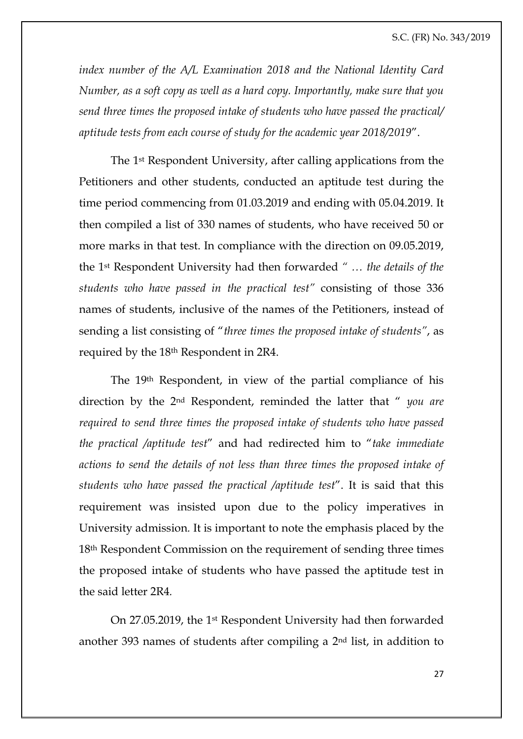*index number of the A/L Examination 2018 and the National Identity Card Number, as a soft copy as well as a hard copy. Importantly, make sure that you send three times the proposed intake of students who have passed the practical/ aptitude tests from each course of study for the academic year 2018/2019*".

The 1st Respondent University, after calling applications from the Petitioners and other students, conducted an aptitude test during the time period commencing from 01.03.2019 and ending with 05.04.2019. It then compiled a list of 330 names of students, who have received 50 or more marks in that test. In compliance with the direction on 09.05.2019, the 1st Respondent University had then forwarded *" … the details of the students who have passed in the practical test"* consisting of those 336 names of students, inclusive of the names of the Petitioners, instead of sending a list consisting of "*three times the proposed intake of students"*, as required by the 18th Respondent in 2R4.

The 19th Respondent, in view of the partial compliance of his direction by the 2nd Respondent, reminded the latter that " *you are required to send three times the proposed intake of students who have passed the practical /aptitude test*" and had redirected him to "*take immediate actions to send the details of not less than three times the proposed intake of students who have passed the practical /aptitude test*". It is said that this requirement was insisted upon due to the policy imperatives in University admission*.* It is important to note the emphasis placed by the 18th Respondent Commission on the requirement of sending three times the proposed intake of students who have passed the aptitude test in the said letter 2R4*.*

On 27.05.2019, the 1st Respondent University had then forwarded another 393 names of students after compiling a 2nd list, in addition to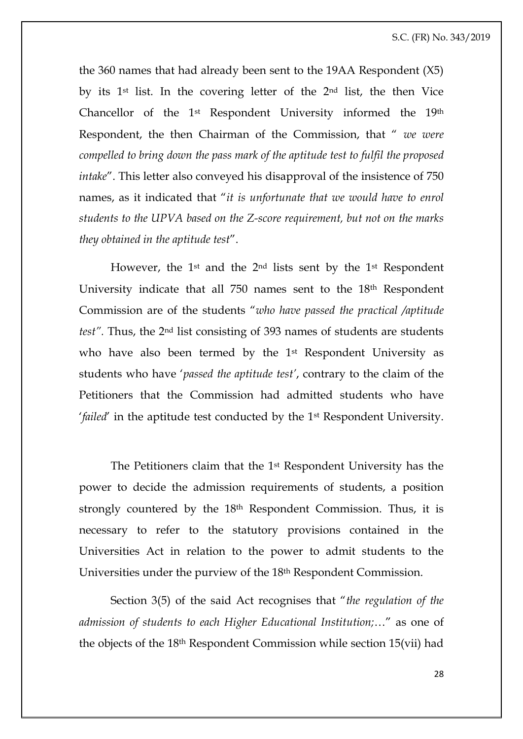the 360 names that had already been sent to the 19AA Respondent (X5) by its 1st list. In the covering letter of the 2nd list, the then Vice Chancellor of the 1st Respondent University informed the 19th Respondent, the then Chairman of the Commission, that " *we were compelled to bring down the pass mark of the aptitude test to fulfil the proposed intake*". This letter also conveyed his disapproval of the insistence of 750 names, as it indicated that "*it is unfortunate that we would have to enrol students to the UPVA based on the Z-score requirement, but not on the marks they obtained in the aptitude test*".

However, the 1st and the 2nd lists sent by the 1st Respondent University indicate that all 750 names sent to the 18<sup>th</sup> Respondent Commission are of the students "*who have passed the practical /aptitude test".* Thus, the 2nd list consisting of 393 names of students are students who have also been termed by the 1<sup>st</sup> Respondent University as students who have '*passed the aptitude test'*, contrary to the claim of the Petitioners that the Commission had admitted students who have '*failed*' in the aptitude test conducted by the 1st Respondent University.

The Petitioners claim that the 1st Respondent University has the power to decide the admission requirements of students, a position strongly countered by the 18th Respondent Commission. Thus, it is necessary to refer to the statutory provisions contained in the Universities Act in relation to the power to admit students to the Universities under the purview of the 18th Respondent Commission.

Section 3(5) of the said Act recognises that "*the regulation of the admission of students to each Higher Educational Institution;*…" as one of the objects of the 18th Respondent Commission while section 15(vii) had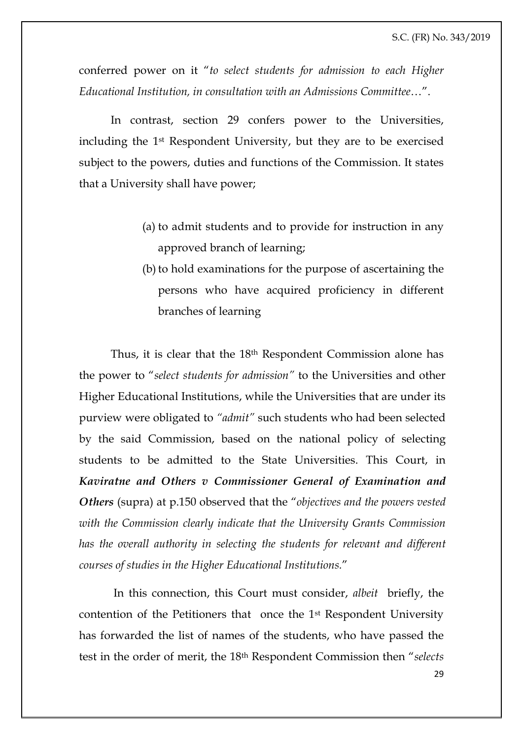conferred power on it "*to select students for admission to each Higher Educational Institution, in consultation with an Admissions Committee*…".

In contrast, section 29 confers power to the Universities, including the 1st Respondent University, but they are to be exercised subject to the powers, duties and functions of the Commission. It states that a University shall have power;

- (a) to admit students and to provide for instruction in any approved branch of learning;
- (b) to hold examinations for the purpose of ascertaining the persons who have acquired proficiency in different branches of learning

Thus, it is clear that the 18th Respondent Commission alone has the power to "*select students for admission"* to the Universities and other Higher Educational Institutions, while the Universities that are under its purview were obligated to *"admit"* such students who had been selected by the said Commission, based on the national policy of selecting students to be admitted to the State Universities. This Court, in *Kaviratne and Others v Commissioner General of Examination and Others* (supra) at p.150 observed that the "*objectives and the powers vested with the Commission clearly indicate that the University Grants Commission has the overall authority in selecting the students for relevant and different courses of studies in the Higher Educational Institutions.*"

In this connection, this Court must consider, *albeit* briefly, the contention of the Petitioners that once the 1st Respondent University has forwarded the list of names of the students, who have passed the test in the order of merit, the 18th Respondent Commission then "*selects*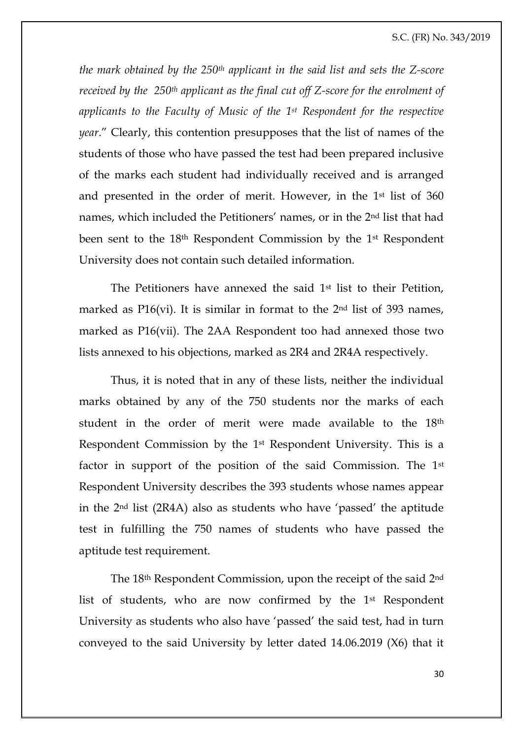*the mark obtained by the 250th applicant in the said list and sets the Z-score received by the 250th applicant as the final cut off Z-score for the enrolment of applicants to the Faculty of Music of the 1st Respondent for the respective year*." Clearly, this contention presupposes that the list of names of the students of those who have passed the test had been prepared inclusive of the marks each student had individually received and is arranged and presented in the order of merit. However, in the 1st list of 360 names, which included the Petitioners' names, or in the 2nd list that had been sent to the 18th Respondent Commission by the 1st Respondent University does not contain such detailed information.

The Petitioners have annexed the said 1<sup>st</sup> list to their Petition, marked as  $P16(vi)$ . It is similar in format to the  $2<sup>nd</sup>$  list of 393 names, marked as P16(vii). The 2AA Respondent too had annexed those two lists annexed to his objections, marked as 2R4 and 2R4A respectively.

Thus, it is noted that in any of these lists, neither the individual marks obtained by any of the 750 students nor the marks of each student in the order of merit were made available to the 18th Respondent Commission by the 1st Respondent University. This is a factor in support of the position of the said Commission. The 1st Respondent University describes the 393 students whose names appear in the 2nd list (2R4A) also as students who have 'passed' the aptitude test in fulfilling the 750 names of students who have passed the aptitude test requirement.

The 18th Respondent Commission, upon the receipt of the said 2nd list of students, who are now confirmed by the 1st Respondent University as students who also have 'passed' the said test, had in turn conveyed to the said University by letter dated 14.06.2019 (X6) that it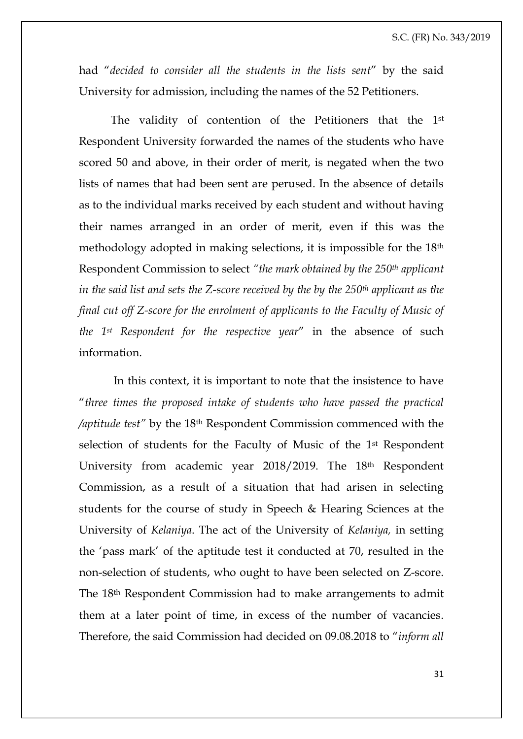had "*decided to consider all the students in the lists sent*" by the said University for admission, including the names of the 52 Petitioners.

The validity of contention of the Petitioners that the 1st Respondent University forwarded the names of the students who have scored 50 and above, in their order of merit, is negated when the two lists of names that had been sent are perused. In the absence of details as to the individual marks received by each student and without having their names arranged in an order of merit, even if this was the methodology adopted in making selections, it is impossible for the 18th Respondent Commission to select *"the mark obtained by the 250th applicant in the said list and sets the Z-score received by the by the 250th applicant as the final cut off Z-score for the enrolment of applicants to the Faculty of Music of the 1st Respondent for the respective year*" in the absence of such information.

In this context, it is important to note that the insistence to have "*three times the proposed intake of students who have passed the practical /aptitude test"* by the 18th Respondent Commission commenced with the selection of students for the Faculty of Music of the 1st Respondent University from academic year 2018/2019. The 18th Respondent Commission, as a result of a situation that had arisen in selecting students for the course of study in Speech & Hearing Sciences at the University of *Kelaniya*. The act of the University of *Kelaniya,* in setting the 'pass mark' of the aptitude test it conducted at 70, resulted in the non-selection of students, who ought to have been selected on Z-score. The 18th Respondent Commission had to make arrangements to admit them at a later point of time, in excess of the number of vacancies. Therefore, the said Commission had decided on 09.08.2018 to "*inform all*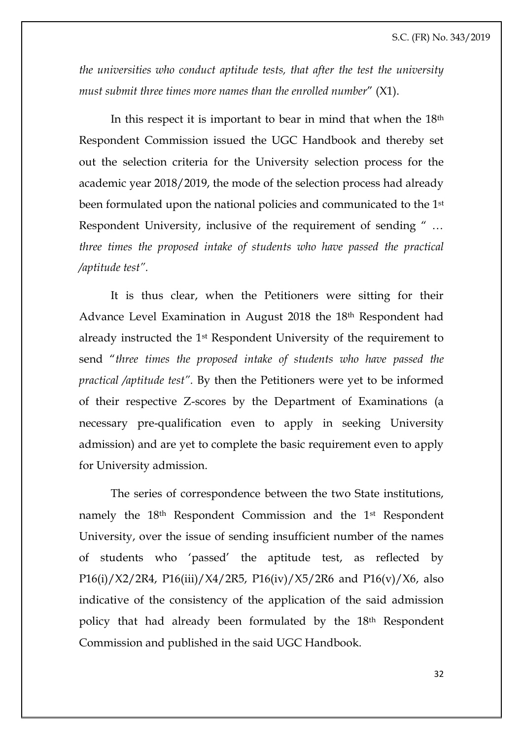*the universities who conduct aptitude tests, that after the test the university must submit three times more names than the enrolled number*" (X1).

In this respect it is important to bear in mind that when the 18<sup>th</sup> Respondent Commission issued the UGC Handbook and thereby set out the selection criteria for the University selection process for the academic year 2018/2019, the mode of the selection process had already been formulated upon the national policies and communicated to the 1st Respondent University, inclusive of the requirement of sending " … *three times the proposed intake of students who have passed the practical /aptitude test".*

It is thus clear, when the Petitioners were sitting for their Advance Level Examination in August 2018 the 18th Respondent had already instructed the 1st Respondent University of the requirement to send "*three times the proposed intake of students who have passed the practical /aptitude test".* By then the Petitioners were yet to be informed of their respective Z-scores by the Department of Examinations (a necessary pre-qualification even to apply in seeking University admission) and are yet to complete the basic requirement even to apply for University admission.

The series of correspondence between the two State institutions, namely the 18th Respondent Commission and the 1st Respondent University, over the issue of sending insufficient number of the names of students who 'passed' the aptitude test, as reflected by P16(i)/X2/2R4, P16(iii)/X4/2R5, P16(iv)/X5/2R6 and P16(v)/X6, also indicative of the consistency of the application of the said admission policy that had already been formulated by the 18th Respondent Commission and published in the said UGC Handbook.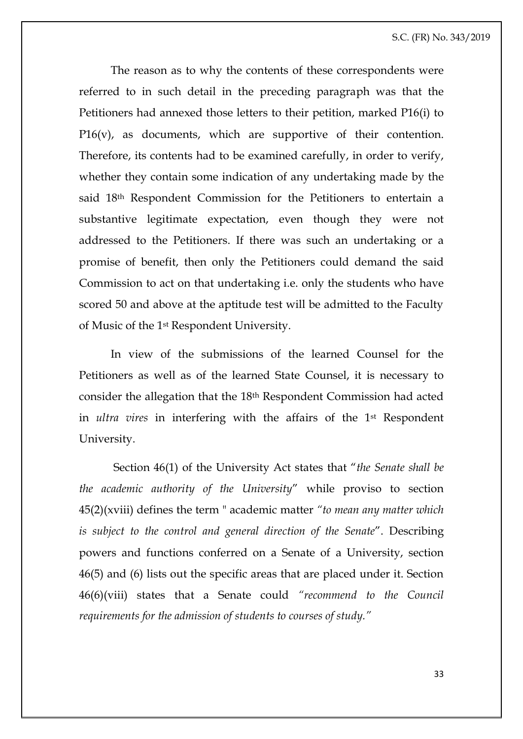The reason as to why the contents of these correspondents were referred to in such detail in the preceding paragraph was that the Petitioners had annexed those letters to their petition, marked P16(i) to P16(v), as documents, which are supportive of their contention. Therefore, its contents had to be examined carefully, in order to verify, whether they contain some indication of any undertaking made by the said 18th Respondent Commission for the Petitioners to entertain a substantive legitimate expectation, even though they were not addressed to the Petitioners. If there was such an undertaking or a promise of benefit, then only the Petitioners could demand the said Commission to act on that undertaking i.e. only the students who have scored 50 and above at the aptitude test will be admitted to the Faculty of Music of the 1st Respondent University.

In view of the submissions of the learned Counsel for the Petitioners as well as of the learned State Counsel, it is necessary to consider the allegation that the 18th Respondent Commission had acted in *ultra vires* in interfering with the affairs of the 1st Respondent University.

Section 46(1) of the University Act states that "*the Senate shall be the academic authority of the University*" while proviso to section 45(2)(xviii) defines the term " academic matter *"to mean any matter which is subject to the control and general direction of the Senate*". Describing powers and functions conferred on a Senate of a University, section 46(5) and (6) lists out the specific areas that are placed under it. Section 46(6)(viii) states that a Senate could *"recommend to the Council requirements for the admission of students to courses of study."*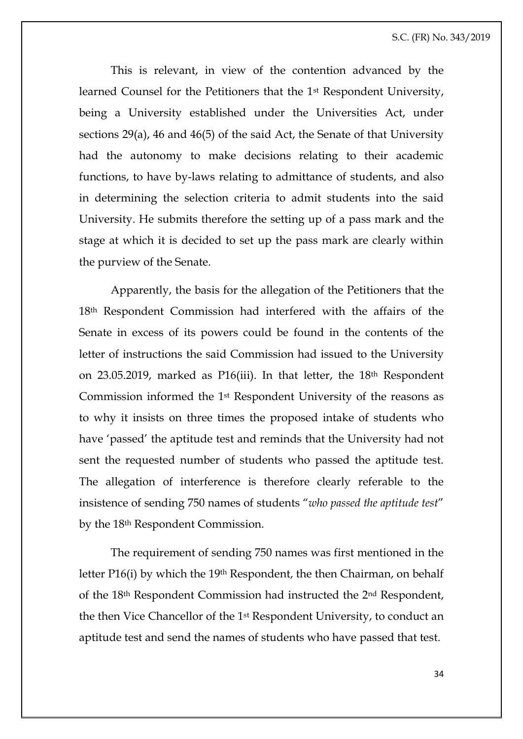This is relevant, in view of the contention advanced by the learned Counsel for the Petitioners that the 1st Respondent University, being a University established under the Universities Act, under sections 29(a), 46 and 46(5) of the said Act, the Senate of that University had the autonomy to make decisions relating to their academic functions, to have by-laws relating to admittance of students, and also in determining the selection criteria to admit students into the said University. He submits therefore the setting up of a pass mark and the stage at which it is decided to set up the pass mark are clearly within the purview of the Senate.

Apparently, the basis for the allegation of the Petitioners that the 18th Respondent Commission had interfered with the affairs of the Senate in excess of its powers could be found in the contents of the letter of instructions the said Commission had issued to the University on 23.05.2019, marked as P16(iii). In that letter, the 18th Respondent Commission informed the 1st Respondent University of the reasons as to why it insists on three times the proposed intake of students who have 'passed' the aptitude test and reminds that the University had not sent the requested number of students who passed the aptitude test. The allegation of interference is therefore clearly referable to the insistence of sending 750 names of students "*who passed the aptitude test*" by the 18th Respondent Commission.

The requirement of sending 750 names was first mentioned in the letter P16(i) by which the 19th Respondent, the then Chairman, on behalf of the 18th Respondent Commission had instructed the 2nd Respondent, the then Vice Chancellor of the 1st Respondent University, to conduct an aptitude test and send the names of students who have passed that test.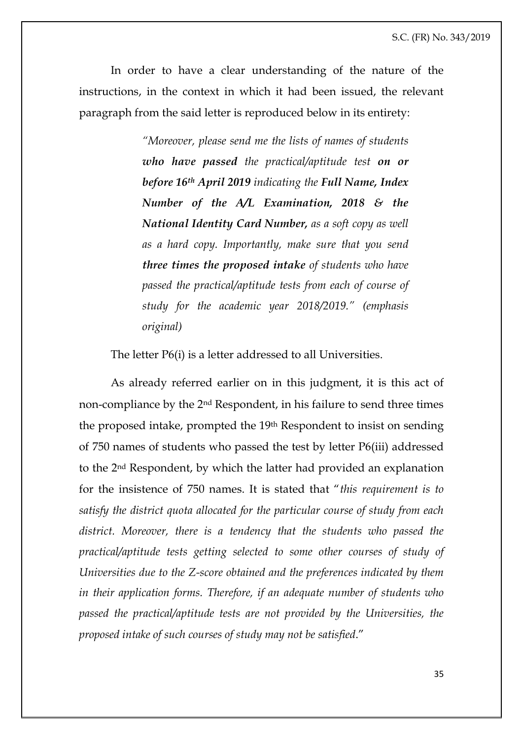In order to have a clear understanding of the nature of the instructions, in the context in which it had been issued, the relevant paragraph from the said letter is reproduced below in its entirety:

> *"Moreover, please send me the lists of names of students who have passed the practical/aptitude test on or before 16th April 2019 indicating the Full Name, Index Number of the A/L Examination, 2018 & the National Identity Card Number, as a soft copy as well as a hard copy. Importantly, make sure that you send three times the proposed intake of students who have passed the practical/aptitude tests from each of course of study for the academic year 2018/2019." (emphasis original)*

The letter P6(i) is a letter addressed to all Universities.

As already referred earlier on in this judgment, it is this act of non-compliance by the 2nd Respondent, in his failure to send three times the proposed intake, prompted the 19th Respondent to insist on sending of 750 names of students who passed the test by letter P6(iii) addressed to the 2nd Respondent, by which the latter had provided an explanation for the insistence of 750 names. It is stated that "*this requirement is to satisfy the district quota allocated for the particular course of study from each*  district. Moreover, there is a tendency that the students who passed the *practical/aptitude tests getting selected to some other courses of study of Universities due to the Z-score obtained and the preferences indicated by them in their application forms. Therefore, if an adequate number of students who passed the practical/aptitude tests are not provided by the Universities, the proposed intake of such courses of study may not be satisfied*."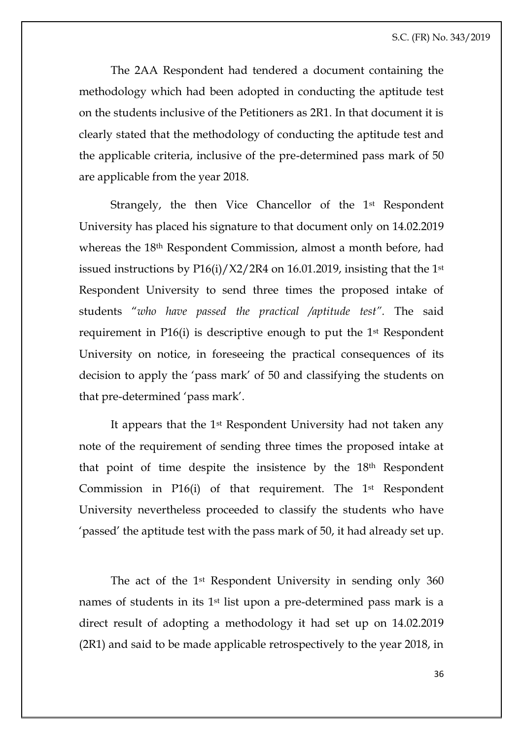The 2AA Respondent had tendered a document containing the methodology which had been adopted in conducting the aptitude test on the students inclusive of the Petitioners as 2R1. In that document it is clearly stated that the methodology of conducting the aptitude test and the applicable criteria, inclusive of the pre-determined pass mark of 50 are applicable from the year 2018.

Strangely, the then Vice Chancellor of the 1st Respondent University has placed his signature to that document only on 14.02.2019 whereas the 18th Respondent Commission, almost a month before, had issued instructions by  $P16(i)/X2/2R4$  on 16.01.2019, insisting that the 1<sup>st</sup> Respondent University to send three times the proposed intake of students "*who have passed the practical /aptitude test".* The said requirement in P16(i) is descriptive enough to put the 1st Respondent University on notice, in foreseeing the practical consequences of its decision to apply the 'pass mark' of 50 and classifying the students on that pre-determined 'pass mark'.

It appears that the 1st Respondent University had not taken any note of the requirement of sending three times the proposed intake at that point of time despite the insistence by the 18th Respondent Commission in P16(i) of that requirement. The 1st Respondent University nevertheless proceeded to classify the students who have 'passed' the aptitude test with the pass mark of 50, it had already set up.

The act of the 1st Respondent University in sending only 360 names of students in its 1<sup>st</sup> list upon a pre-determined pass mark is a direct result of adopting a methodology it had set up on 14.02.2019 (2R1) and said to be made applicable retrospectively to the year 2018, in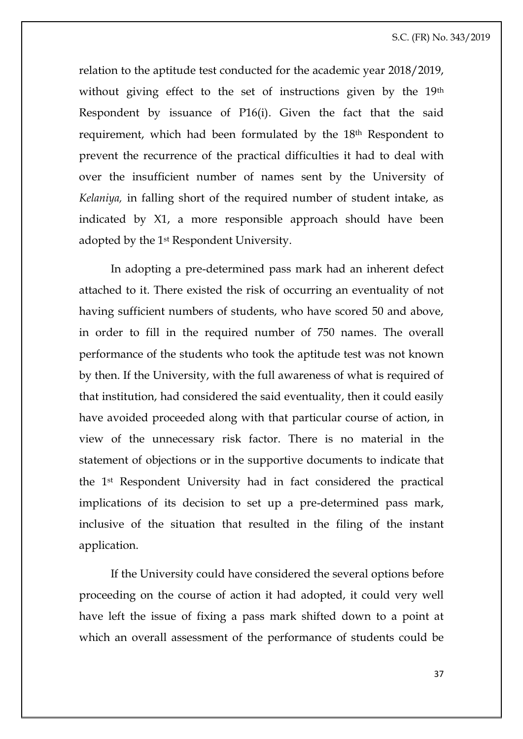relation to the aptitude test conducted for the academic year 2018/2019, without giving effect to the set of instructions given by the 19<sup>th</sup> Respondent by issuance of P16(i). Given the fact that the said requirement, which had been formulated by the 18th Respondent to prevent the recurrence of the practical difficulties it had to deal with over the insufficient number of names sent by the University of *Kelaniya,* in falling short of the required number of student intake, as indicated by X1, a more responsible approach should have been adopted by the 1st Respondent University.

In adopting a pre-determined pass mark had an inherent defect attached to it. There existed the risk of occurring an eventuality of not having sufficient numbers of students, who have scored 50 and above, in order to fill in the required number of 750 names. The overall performance of the students who took the aptitude test was not known by then. If the University, with the full awareness of what is required of that institution, had considered the said eventuality, then it could easily have avoided proceeded along with that particular course of action, in view of the unnecessary risk factor. There is no material in the statement of objections or in the supportive documents to indicate that the 1st Respondent University had in fact considered the practical implications of its decision to set up a pre-determined pass mark, inclusive of the situation that resulted in the filing of the instant application.

If the University could have considered the several options before proceeding on the course of action it had adopted, it could very well have left the issue of fixing a pass mark shifted down to a point at which an overall assessment of the performance of students could be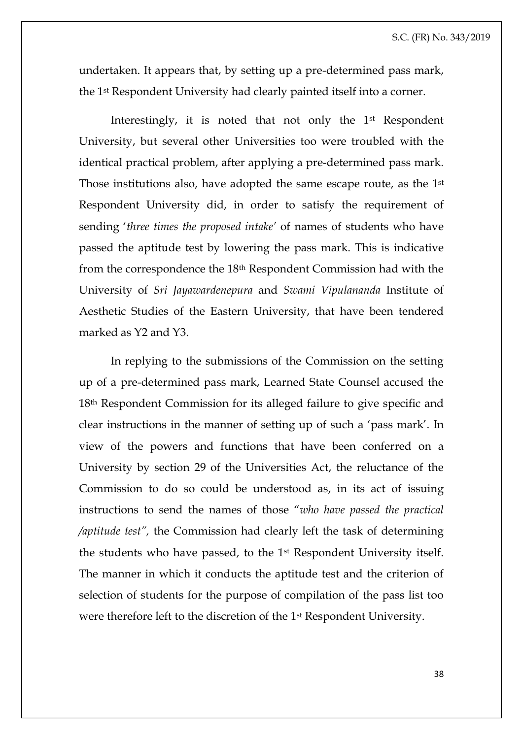undertaken. It appears that, by setting up a pre-determined pass mark, the 1st Respondent University had clearly painted itself into a corner.

Interestingly, it is noted that not only the 1st Respondent University, but several other Universities too were troubled with the identical practical problem, after applying a pre-determined pass mark. Those institutions also, have adopted the same escape route, as the 1st Respondent University did, in order to satisfy the requirement of sending '*three times the proposed intake'* of names of students who have passed the aptitude test by lowering the pass mark. This is indicative from the correspondence the 18th Respondent Commission had with the University of *Sri Jayawardenepura* and *Swami Vipulananda* Institute of Aesthetic Studies of the Eastern University, that have been tendered marked as Y2 and Y3.

In replying to the submissions of the Commission on the setting up of a pre-determined pass mark, Learned State Counsel accused the 18th Respondent Commission for its alleged failure to give specific and clear instructions in the manner of setting up of such a 'pass mark'. In view of the powers and functions that have been conferred on a University by section 29 of the Universities Act, the reluctance of the Commission to do so could be understood as, in its act of issuing instructions to send the names of those "*who have passed the practical /aptitude test",* the Commission had clearly left the task of determining the students who have passed, to the 1st Respondent University itself. The manner in which it conducts the aptitude test and the criterion of selection of students for the purpose of compilation of the pass list too were therefore left to the discretion of the 1st Respondent University.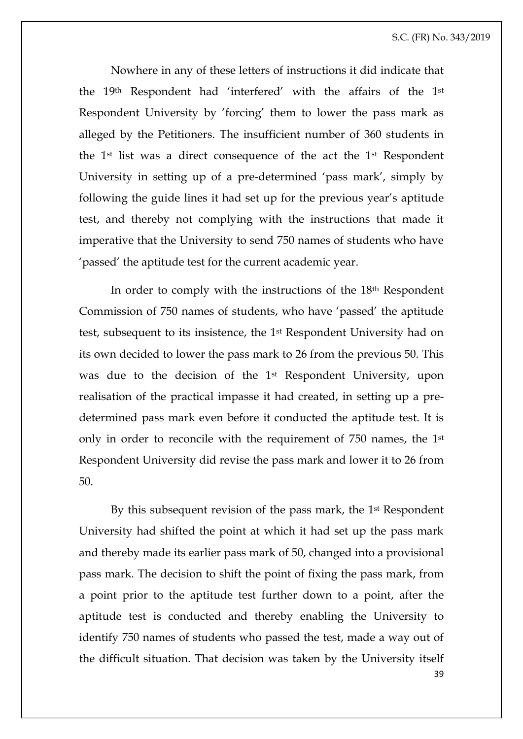Nowhere in any of these letters of instructions it did indicate that the 19th Respondent had 'interfered' with the affairs of the 1st Respondent University by 'forcing' them to lower the pass mark as alleged by the Petitioners. The insufficient number of 360 students in the 1st list was a direct consequence of the act the 1st Respondent University in setting up of a pre-determined 'pass mark', simply by following the guide lines it had set up for the previous year's aptitude test, and thereby not complying with the instructions that made it imperative that the University to send 750 names of students who have 'passed' the aptitude test for the current academic year.

In order to comply with the instructions of the 18th Respondent Commission of 750 names of students, who have 'passed' the aptitude test, subsequent to its insistence, the 1st Respondent University had on its own decided to lower the pass mark to 26 from the previous 50. This was due to the decision of the 1st Respondent University, upon realisation of the practical impasse it had created, in setting up a predetermined pass mark even before it conducted the aptitude test. It is only in order to reconcile with the requirement of 750 names, the 1st Respondent University did revise the pass mark and lower it to 26 from 50.

39 By this subsequent revision of the pass mark, the 1<sup>st</sup> Respondent University had shifted the point at which it had set up the pass mark and thereby made its earlier pass mark of 50, changed into a provisional pass mark. The decision to shift the point of fixing the pass mark, from a point prior to the aptitude test further down to a point, after the aptitude test is conducted and thereby enabling the University to identify 750 names of students who passed the test, made a way out of the difficult situation. That decision was taken by the University itself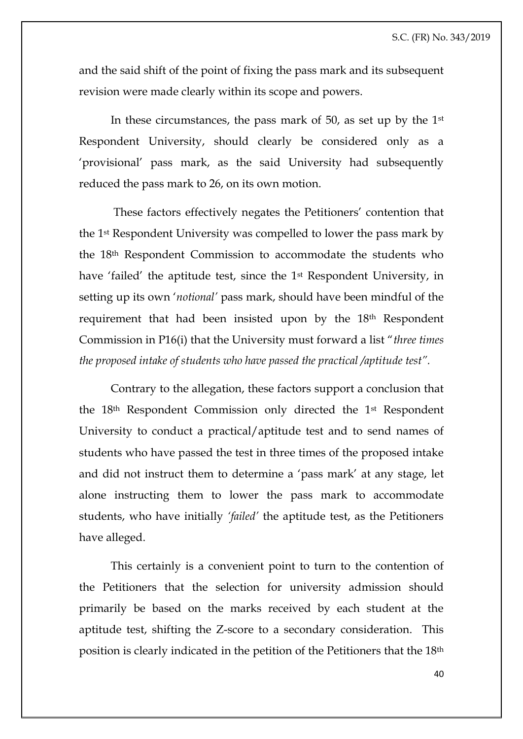and the said shift of the point of fixing the pass mark and its subsequent revision were made clearly within its scope and powers.

In these circumstances, the pass mark of 50, as set up by the 1st Respondent University, should clearly be considered only as a 'provisional' pass mark, as the said University had subsequently reduced the pass mark to 26, on its own motion.

These factors effectively negates the Petitioners' contention that the 1st Respondent University was compelled to lower the pass mark by the 18th Respondent Commission to accommodate the students who have 'failed' the aptitude test, since the 1st Respondent University, in setting up its own '*notional'* pass mark, should have been mindful of the requirement that had been insisted upon by the 18<sup>th</sup> Respondent Commission in P16(i) that the University must forward a list "*three times the proposed intake of students who have passed the practical /aptitude test".*

Contrary to the allegation, these factors support a conclusion that the 18th Respondent Commission only directed the 1st Respondent University to conduct a practical/aptitude test and to send names of students who have passed the test in three times of the proposed intake and did not instruct them to determine a 'pass mark' at any stage, let alone instructing them to lower the pass mark to accommodate students, who have initially *'failed'* the aptitude test, as the Petitioners have alleged.

This certainly is a convenient point to turn to the contention of the Petitioners that the selection for university admission should primarily be based on the marks received by each student at the aptitude test, shifting the Z-score to a secondary consideration. This position is clearly indicated in the petition of the Petitioners that the 18th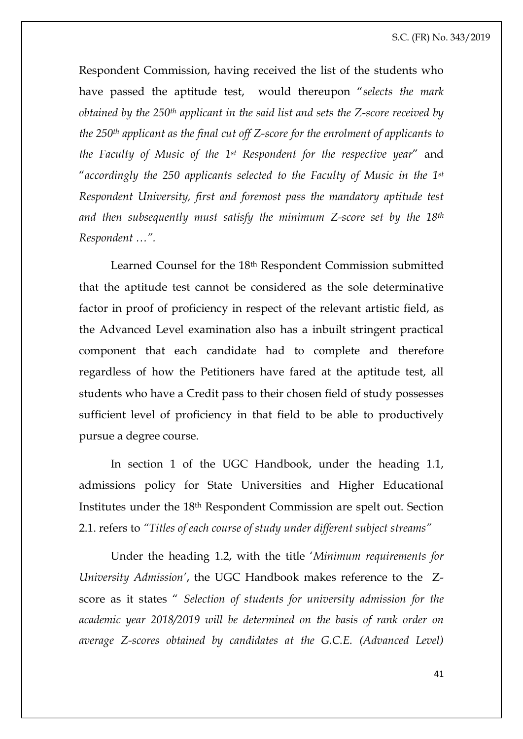Respondent Commission, having received the list of the students who have passed the aptitude test, would thereupon "*selects the mark obtained by the 250th applicant in the said list and sets the Z-score received by the 250th applicant as the final cut off Z-score for the enrolment of applicants to the Faculty of Music of the 1st Respondent for the respective year*" and "*accordingly the 250 applicants selected to the Faculty of Music in the 1st Respondent University, first and foremost pass the mandatory aptitude test and then subsequently must satisfy the minimum Z-score set by the 18th Respondent …".*

Learned Counsel for the 18th Respondent Commission submitted that the aptitude test cannot be considered as the sole determinative factor in proof of proficiency in respect of the relevant artistic field, as the Advanced Level examination also has a inbuilt stringent practical component that each candidate had to complete and therefore regardless of how the Petitioners have fared at the aptitude test, all students who have a Credit pass to their chosen field of study possesses sufficient level of proficiency in that field to be able to productively pursue a degree course.

In section 1 of the UGC Handbook, under the heading 1.1, admissions policy for State Universities and Higher Educational Institutes under the 18th Respondent Commission are spelt out. Section 2.1. refers to *"Titles of each course of study under different subject streams"*

Under the heading 1.2, with the title '*Minimum requirements for University Admission'*, the UGC Handbook makes reference to the Zscore as it states " *Selection of students for university admission for the academic year 2018/2019 will be determined on the basis of rank order on average Z-scores obtained by candidates at the G.C.E. (Advanced Level)*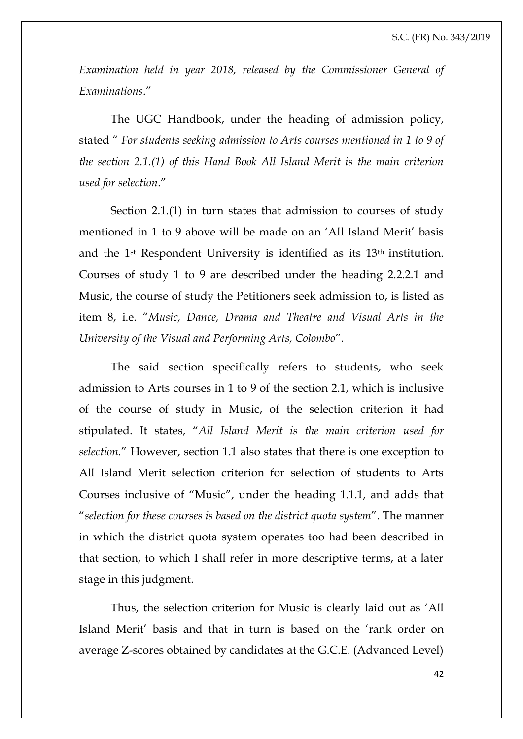*Examination held in year 2018, released by the Commissioner General of Examinations*."

The UGC Handbook, under the heading of admission policy, stated " *For students seeking admission to Arts courses mentioned in 1 to 9 of the section 2.1.(1) of this Hand Book All Island Merit is the main criterion used for selection*."

Section 2.1.(1) in turn states that admission to courses of study mentioned in 1 to 9 above will be made on an 'All Island Merit' basis and the 1st Respondent University is identified as its 13th institution. Courses of study 1 to 9 are described under the heading 2.2.2.1 and Music, the course of study the Petitioners seek admission to, is listed as item 8, i.e. "*Music, Dance, Drama and Theatre and Visual Arts in the University of the Visual and Performing Arts, Colombo*".

The said section specifically refers to students, who seek admission to Arts courses in 1 to 9 of the section 2.1, which is inclusive of the course of study in Music, of the selection criterion it had stipulated. It states, "*All Island Merit is the main criterion used for selection.*" However, section 1.1 also states that there is one exception to All Island Merit selection criterion for selection of students to Arts Courses inclusive of "Music", under the heading 1.1.1, and adds that "*selection for these courses is based on the district quota system*". The manner in which the district quota system operates too had been described in that section, to which I shall refer in more descriptive terms, at a later stage in this judgment.

Thus, the selection criterion for Music is clearly laid out as 'All Island Merit' basis and that in turn is based on the 'rank order on average Z-scores obtained by candidates at the G.C.E. (Advanced Level)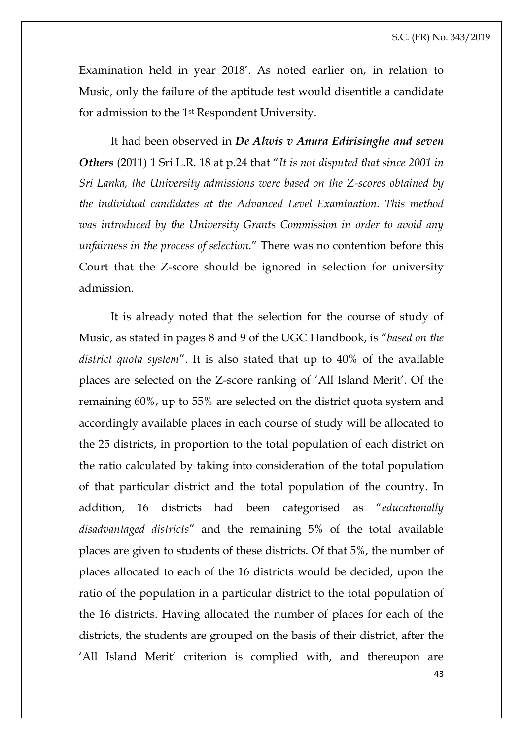Examination held in year 2018'. As noted earlier on, in relation to Music, only the failure of the aptitude test would disentitle a candidate for admission to the 1st Respondent University.

It had been observed in *De Alwis v Anura Edirisinghe and seven Others* (2011) 1 Sri L.R. 18 at p.24 that "*It is not disputed that since 2001 in Sri Lanka, the University admissions were based on the Z-scores obtained by the individual candidates at the Advanced Level Examination. This method was introduced by the University Grants Commission in order to avoid any unfairness in the process of selection*." There was no contention before this Court that the Z-score should be ignored in selection for university admission.

It is already noted that the selection for the course of study of Music, as stated in pages 8 and 9 of the UGC Handbook, is "*based on the district quota system*". It is also stated that up to 40% of the available places are selected on the Z-score ranking of 'All Island Merit'. Of the remaining 60%, up to 55% are selected on the district quota system and accordingly available places in each course of study will be allocated to the 25 districts, in proportion to the total population of each district on the ratio calculated by taking into consideration of the total population of that particular district and the total population of the country. In addition, 16 districts had been categorised as "*educationally disadvantaged districts*" and the remaining 5% of the total available places are given to students of these districts. Of that 5%, the number of places allocated to each of the 16 districts would be decided, upon the ratio of the population in a particular district to the total population of the 16 districts. Having allocated the number of places for each of the districts, the students are grouped on the basis of their district, after the 'All Island Merit' criterion is complied with, and thereupon are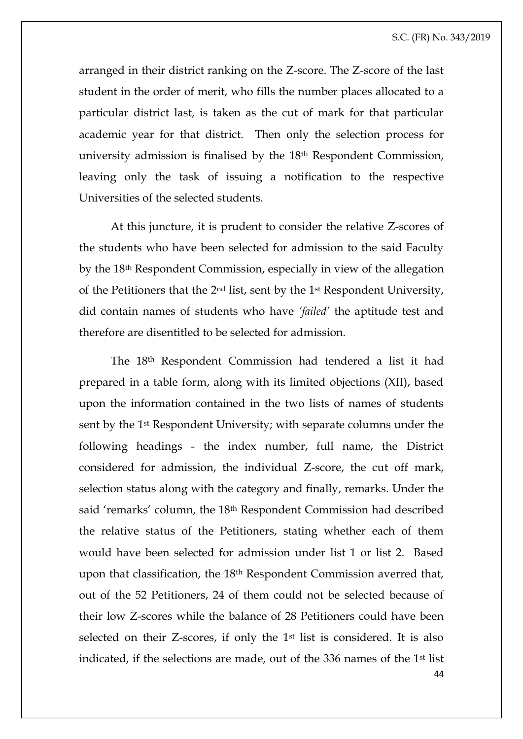arranged in their district ranking on the Z-score. The Z-score of the last student in the order of merit, who fills the number places allocated to a particular district last, is taken as the cut of mark for that particular academic year for that district. Then only the selection process for university admission is finalised by the 18th Respondent Commission, leaving only the task of issuing a notification to the respective Universities of the selected students.

At this juncture, it is prudent to consider the relative Z-scores of the students who have been selected for admission to the said Faculty by the 18th Respondent Commission, especially in view of the allegation of the Petitioners that the 2nd list, sent by the 1st Respondent University, did contain names of students who have *'failed'* the aptitude test and therefore are disentitled to be selected for admission.

44 The 18th Respondent Commission had tendered a list it had prepared in a table form, along with its limited objections (XII), based upon the information contained in the two lists of names of students sent by the 1st Respondent University; with separate columns under the following headings - the index number, full name, the District considered for admission, the individual Z-score, the cut off mark, selection status along with the category and finally, remarks. Under the said 'remarks' column, the 18th Respondent Commission had described the relative status of the Petitioners, stating whether each of them would have been selected for admission under list 1 or list 2. Based upon that classification, the 18th Respondent Commission averred that, out of the 52 Petitioners, 24 of them could not be selected because of their low Z-scores while the balance of 28 Petitioners could have been selected on their Z-scores, if only the 1<sup>st</sup> list is considered. It is also indicated, if the selections are made, out of the 336 names of the 1st list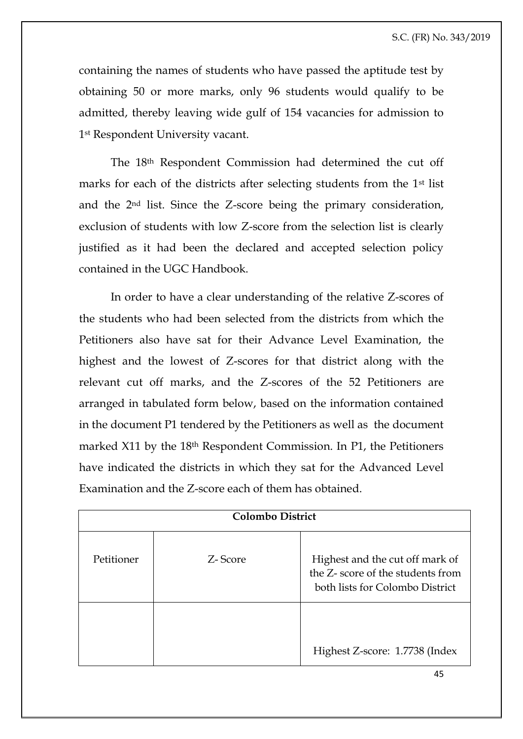containing the names of students who have passed the aptitude test by obtaining 50 or more marks, only 96 students would qualify to be admitted, thereby leaving wide gulf of 154 vacancies for admission to 1st Respondent University vacant.

The 18th Respondent Commission had determined the cut off marks for each of the districts after selecting students from the 1st list and the 2nd list. Since the Z-score being the primary consideration, exclusion of students with low Z-score from the selection list is clearly justified as it had been the declared and accepted selection policy contained in the UGC Handbook.

In order to have a clear understanding of the relative Z-scores of the students who had been selected from the districts from which the Petitioners also have sat for their Advance Level Examination, the highest and the lowest of Z-scores for that district along with the relevant cut off marks, and the Z-scores of the 52 Petitioners are arranged in tabulated form below, based on the information contained in the document P1 tendered by the Petitioners as well as the document marked X11 by the 18th Respondent Commission. In P1, the Petitioners have indicated the districts in which they sat for the Advanced Level Examination and the Z-score each of them has obtained.

| <b>Colombo District</b> |         |                                                                                                         |  |
|-------------------------|---------|---------------------------------------------------------------------------------------------------------|--|
| Petitioner              | Z-Score | Highest and the cut off mark of<br>the Z- score of the students from<br>both lists for Colombo District |  |
|                         |         | Highest Z-score: 1.7738 (Index                                                                          |  |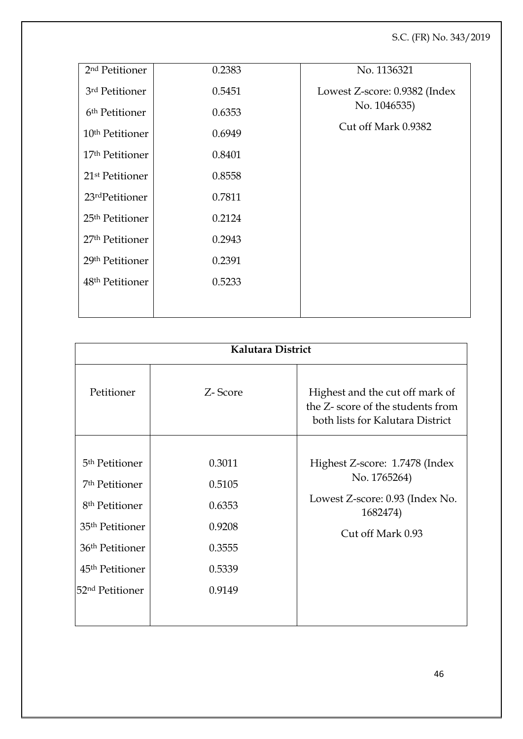| 2 <sup>nd</sup> Petitioner  | 0.2383 | No. 1136321                   |
|-----------------------------|--------|-------------------------------|
| 3rd Petitioner              | 0.5451 | Lowest Z-score: 0.9382 (Index |
| 6 <sup>th</sup> Petitioner  | 0.6353 | No. 1046535)                  |
| 10 <sup>th</sup> Petitioner | 0.6949 | Cut off Mark 0.9382           |
| 17 <sup>th</sup> Petitioner | 0.8401 |                               |
| 21 <sup>st</sup> Petitioner | 0.8558 |                               |
| 23rdPetitioner              | 0.7811 |                               |
|                             |        |                               |
| 25 <sup>th</sup> Petitioner | 0.2124 |                               |
| 27 <sup>th</sup> Petitioner | 0.2943 |                               |
| 29th Petitioner             | 0.2391 |                               |
| 48 <sup>th</sup> Petitioner | 0.5233 |                               |
|                             |        |                               |
|                             |        |                               |

| Kalutara District           |         |                                                                                                         |  |
|-----------------------------|---------|---------------------------------------------------------------------------------------------------------|--|
| Petitioner                  | Z-Score | Highest and the cut off mark of<br>the Z-score of the students from<br>both lists for Kalutara District |  |
| 5 <sup>th</sup> Petitioner  | 0.3011  |                                                                                                         |  |
|                             |         | Highest Z-score: 1.7478 (Index<br>No. 1765264)                                                          |  |
| 7 <sup>th</sup> Petitioner  | 0.5105  |                                                                                                         |  |
| 8 <sup>th</sup> Petitioner  | 0.6353  | Lowest Z-score: 0.93 (Index No.<br>1682474)                                                             |  |
| 35 <sup>th</sup> Petitioner | 0.9208  | Cut off Mark 0.93                                                                                       |  |
| 36 <sup>th</sup> Petitioner | 0.3555  |                                                                                                         |  |
| 45 <sup>th</sup> Petitioner | 0.5339  |                                                                                                         |  |
| 52 <sup>nd</sup> Petitioner | 0.9149  |                                                                                                         |  |
|                             |         |                                                                                                         |  |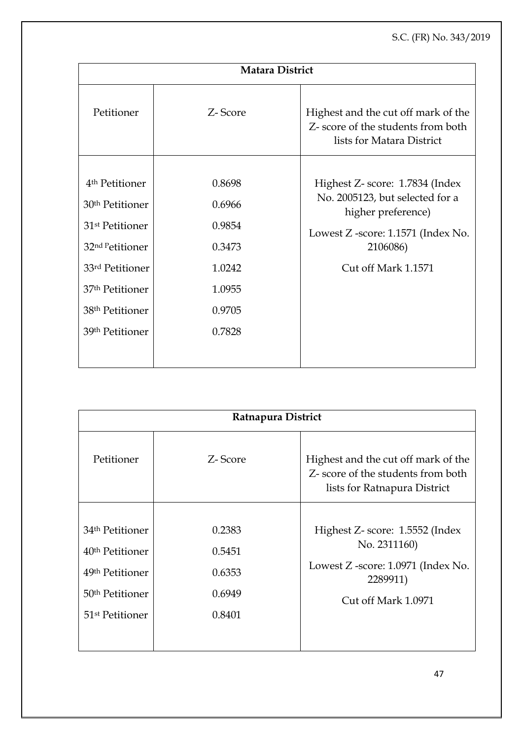| Matara District                                                                                                                                                                                                                          |                                                                              |                                                                                                                                                                   |  |
|------------------------------------------------------------------------------------------------------------------------------------------------------------------------------------------------------------------------------------------|------------------------------------------------------------------------------|-------------------------------------------------------------------------------------------------------------------------------------------------------------------|--|
| Petitioner                                                                                                                                                                                                                               | Z-Score                                                                      | Highest and the cut off mark of the<br>Z- score of the students from both<br>lists for Matara District                                                            |  |
| 4 <sup>th</sup> Petitioner<br>30 <sup>th</sup> Petitioner<br>31 <sup>st</sup> Petitioner<br>32 <sup>nd P</sup> etitioner<br>33rd Petitioner<br>37 <sup>th</sup> Petitioner<br>38 <sup>th</sup> Petitioner<br>39 <sup>th</sup> Petitioner | 0.8698<br>0.6966<br>0.9854<br>0.3473<br>1.0242<br>1.0955<br>0.9705<br>0.7828 | Highest Z- score: 1.7834 (Index<br>No. 2005123, but selected for a<br>higher preference)<br>Lowest Z -score: 1.1571 (Index No.<br>2106086)<br>Cut off Mark 1.1571 |  |

| Ratnapura District          |         |                                                                                                           |  |
|-----------------------------|---------|-----------------------------------------------------------------------------------------------------------|--|
| Petitioner                  | Z-Score | Highest and the cut off mark of the<br>Z- score of the students from both<br>lists for Ratnapura District |  |
|                             |         |                                                                                                           |  |
| 34 <sup>th</sup> Petitioner | 0.2383  | Highest Z- score: 1.5552 (Index                                                                           |  |
| 40 <sup>th</sup> Petitioner | 0.5451  | No. 2311160)                                                                                              |  |
| 49 <sup>th</sup> Petitioner | 0.6353  | Lowest Z -score: 1.0971 (Index No.<br>2289911)                                                            |  |
| 50 <sup>th</sup> Petitioner | 0.6949  | Cut off Mark 1.0971                                                                                       |  |
| 51 <sup>st</sup> Petitioner | 0.8401  |                                                                                                           |  |
|                             |         |                                                                                                           |  |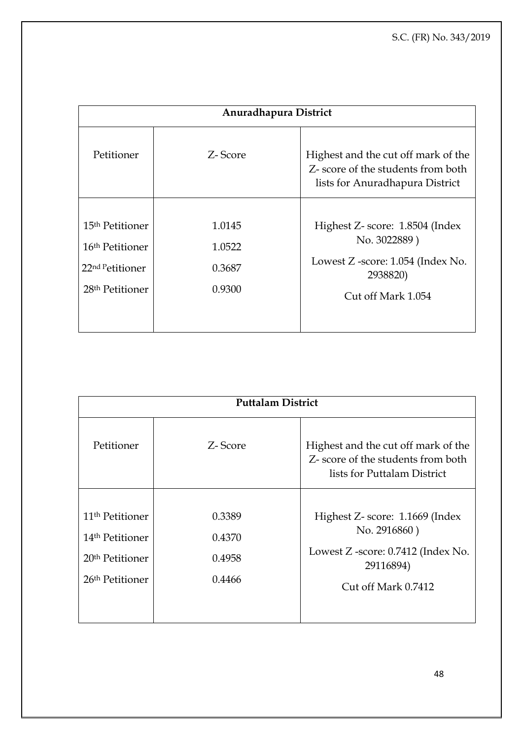| Anuradhapura District        |         |                                                                                                              |  |
|------------------------------|---------|--------------------------------------------------------------------------------------------------------------|--|
| Petitioner                   | Z-Score | Highest and the cut off mark of the<br>Z- score of the students from both<br>lists for Anuradhapura District |  |
|                              |         |                                                                                                              |  |
| 15 <sup>th</sup> Petitioner  | 1.0145  | Highest Z- score: 1.8504 (Index                                                                              |  |
| 16 <sup>th</sup> Petitioner  | 1.0522  | No. 3022889)                                                                                                 |  |
| 22 <sup>nd P</sup> etitioner | 0.3687  | Lowest Z -score: 1.054 (Index No.<br>2938820)                                                                |  |
| 28 <sup>th</sup> Petitioner  | 0.9300  | Cut off Mark 1.054                                                                                           |  |
|                              |         |                                                                                                              |  |

| <b>Puttalam District</b>    |         |                                                                                                          |  |
|-----------------------------|---------|----------------------------------------------------------------------------------------------------------|--|
| Petitioner                  | Z-Score | Highest and the cut off mark of the<br>Z- score of the students from both<br>lists for Puttalam District |  |
|                             |         |                                                                                                          |  |
| 11 <sup>th</sup> Petitioner | 0.3389  | Highest Z- score: 1.1669 (Index                                                                          |  |
| 14 <sup>th</sup> Petitioner | 0.4370  | No. 2916860)                                                                                             |  |
| 20 <sup>th</sup> Petitioner | 0.4958  | Lowest Z -score: 0.7412 (Index No.<br>29116894)                                                          |  |
| 26 <sup>th</sup> Petitioner | 0.4466  | Cut off Mark 0.7412                                                                                      |  |
|                             |         |                                                                                                          |  |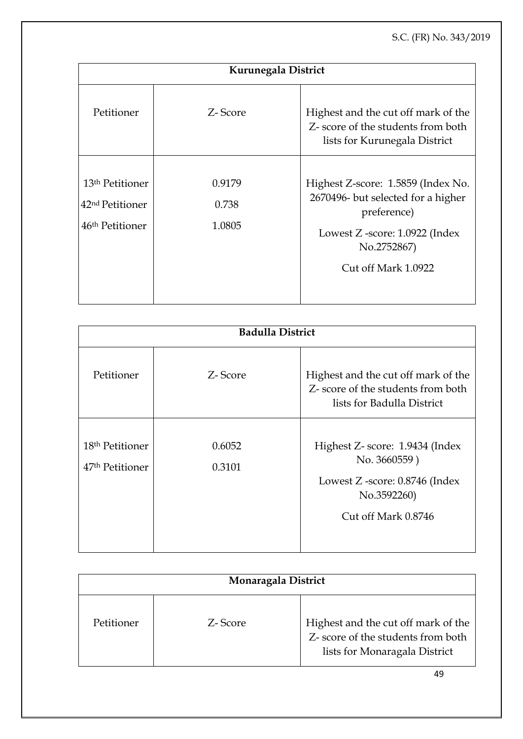| Kurunegala District                                                                       |                           |                                                                                                                                          |  |
|-------------------------------------------------------------------------------------------|---------------------------|------------------------------------------------------------------------------------------------------------------------------------------|--|
| Petitioner                                                                                | Z-Score                   | Highest and the cut off mark of the<br>Z- score of the students from both<br>lists for Kurunegala District                               |  |
| 13 <sup>th</sup> Petitioner<br>42 <sup>nd</sup> Petitioner<br>46 <sup>th</sup> Petitioner | 0.9179<br>0.738<br>1.0805 | Highest Z-score: 1.5859 (Index No.<br>2670496- but selected for a higher<br>preference)<br>Lowest Z -score: 1.0922 (Index<br>No.2752867) |  |
|                                                                                           |                           | Cut off Mark 1.0922                                                                                                                      |  |

| <b>Badulla District</b>     |         |                                                                                                         |  |
|-----------------------------|---------|---------------------------------------------------------------------------------------------------------|--|
| Petitioner                  | Z-Score | Highest and the cut off mark of the<br>Z- score of the students from both<br>lists for Badulla District |  |
| 18 <sup>th</sup> Petitioner | 0.6052  | Highest Z- score: 1.9434 (Index<br>No. 3660559)                                                         |  |
| 47 <sup>th</sup> Petitioner | 0.3101  | Lowest Z -score: 0.8746 (Index<br>No.3592260)                                                           |  |
|                             |         | Cut off Mark 0.8746                                                                                     |  |

| Monaragala District |         |                                                                                                            |
|---------------------|---------|------------------------------------------------------------------------------------------------------------|
| Petitioner          | Z-Score | Highest and the cut off mark of the<br>Z- score of the students from both<br>lists for Monaragala District |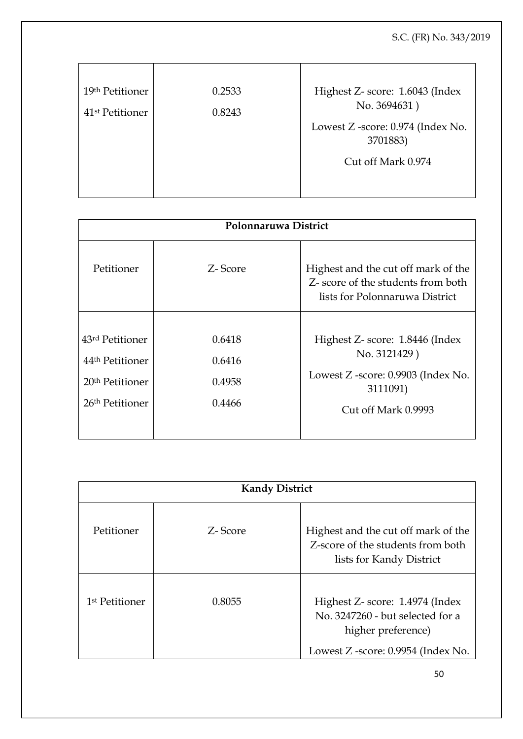| 19th Petitioner             | 0.2533 | Highest Z- score: 1.6043 (Index   |
|-----------------------------|--------|-----------------------------------|
| 41 <sup>st</sup> Petitioner | 0.8243 | No. 3694631)                      |
|                             |        | Lowest Z -score: 0.974 (Index No. |
|                             |        | 3701883)                          |
|                             |        | Cut off Mark 0.974                |
|                             |        |                                   |
|                             |        |                                   |

| Polonnaruwa District                                                                                         |                                      |                                                                                                                          |
|--------------------------------------------------------------------------------------------------------------|--------------------------------------|--------------------------------------------------------------------------------------------------------------------------|
| Petitioner                                                                                                   | Z-Score                              | Highest and the cut off mark of the<br>Z- score of the students from both<br>lists for Polonnaruwa District              |
| 43rd Petitioner<br>44 <sup>th</sup> Petitioner<br>20 <sup>th</sup> Petitioner<br>26 <sup>th</sup> Petitioner | 0.6418<br>0.6416<br>0.4958<br>0.4466 | Highest Z- score: 1.8446 (Index<br>No. 3121429)<br>Lowest Z -score: 0.9903 (Index No.<br>3111091)<br>Cut off Mark 0.9993 |

| <b>Kandy District</b>      |         |                                                                                                      |
|----------------------------|---------|------------------------------------------------------------------------------------------------------|
| Petitioner                 | Z-Score | Highest and the cut off mark of the<br>Z-score of the students from both<br>lists for Kandy District |
| 1 <sup>st</sup> Petitioner | 0.8055  | Highest Z- score: 1.4974 (Index<br>No. 3247260 - but selected for a<br>higher preference)            |
|                            |         | Lowest Z -score: 0.9954 (Index No.                                                                   |

50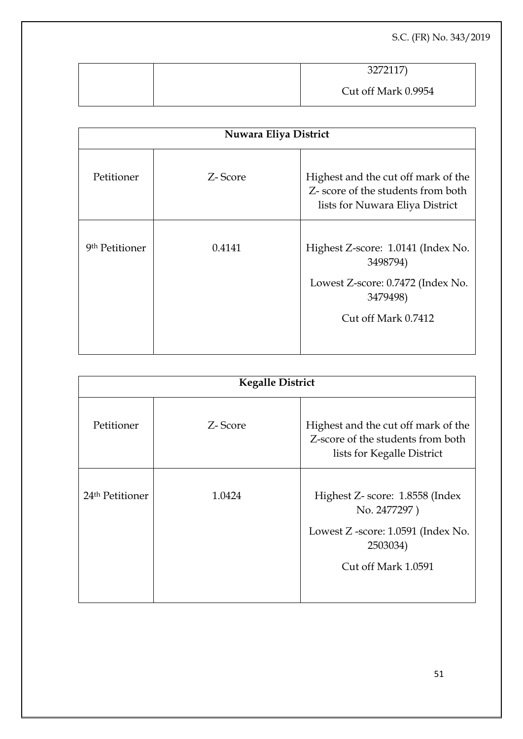|  | 3272117)            |
|--|---------------------|
|  | Cut off Mark 0.9954 |

| Nuwara Eliya District      |         |                                                                                                                        |
|----------------------------|---------|------------------------------------------------------------------------------------------------------------------------|
| Petitioner                 | Z-Score | Highest and the cut off mark of the<br>Z- score of the students from both<br>lists for Nuwara Eliya District           |
| 9 <sup>th</sup> Petitioner | 0.4141  | Highest Z-score: 1.0141 (Index No.<br>3498794)<br>Lowest Z-score: 0.7472 (Index No.<br>3479498)<br>Cut off Mark 0.7412 |

| <b>Kegalle District</b>     |         |                                                                                                                          |
|-----------------------------|---------|--------------------------------------------------------------------------------------------------------------------------|
| Petitioner                  | Z-Score | Highest and the cut off mark of the<br>Z-score of the students from both<br>lists for Kegalle District                   |
| 24 <sup>th</sup> Petitioner | 1.0424  | Highest Z- score: 1.8558 (Index<br>No. 2477297)<br>Lowest Z -score: 1.0591 (Index No.<br>2503034)<br>Cut off Mark 1.0591 |
|                             |         |                                                                                                                          |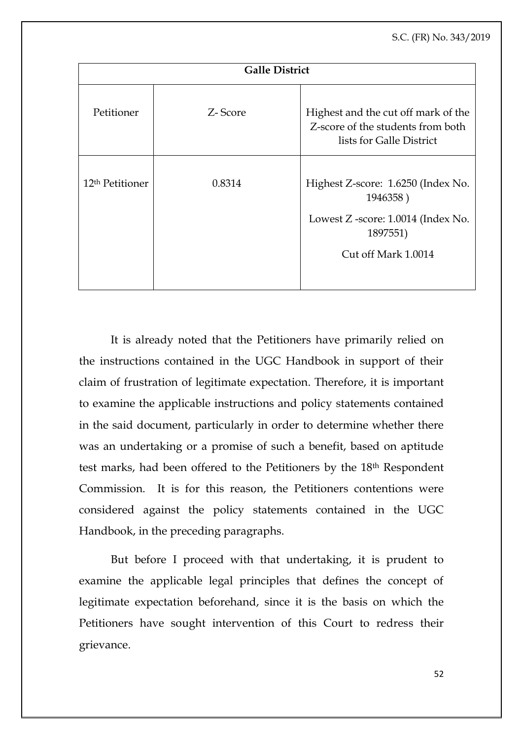| <b>Galle District</b>       |         |                                                                                                      |
|-----------------------------|---------|------------------------------------------------------------------------------------------------------|
| Petitioner                  | Z-Score | Highest and the cut off mark of the<br>Z-score of the students from both<br>lists for Galle District |
| 12 <sup>th</sup> Petitioner | 0.8314  | Highest Z-score: 1.6250 (Index No.<br>1946358)<br>Lowest Z -score: 1.0014 (Index No.<br>1897551)     |
|                             |         | Cut off Mark 1.0014                                                                                  |

It is already noted that the Petitioners have primarily relied on the instructions contained in the UGC Handbook in support of their claim of frustration of legitimate expectation. Therefore, it is important to examine the applicable instructions and policy statements contained in the said document, particularly in order to determine whether there was an undertaking or a promise of such a benefit, based on aptitude test marks, had been offered to the Petitioners by the 18th Respondent Commission. It is for this reason, the Petitioners contentions were considered against the policy statements contained in the UGC Handbook, in the preceding paragraphs.

But before I proceed with that undertaking, it is prudent to examine the applicable legal principles that defines the concept of legitimate expectation beforehand, since it is the basis on which the Petitioners have sought intervention of this Court to redress their grievance.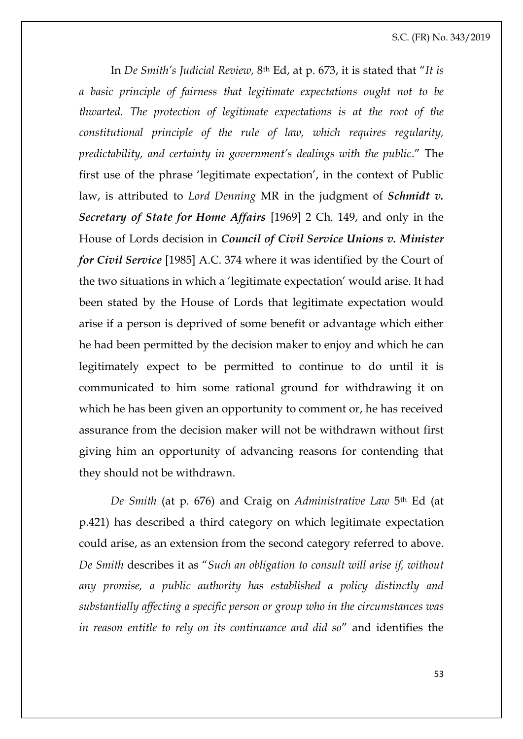In *De Smith's Judicial Review,* 8th Ed, at p. 673, it is stated that "*It is a basic principle of fairness that legitimate expectations ought not to be thwarted. The protection of legitimate expectations is at the root of the constitutional principle of the rule of law, which requires regularity, predictability, and certainty in government's dealings with the public*." The first use of the phrase 'legitimate expectation', in the context of Public law, is attributed to *Lord Denning* MR in the judgment of *Schmidt v. Secretary of State for Home Affairs* [1969] 2 Ch. 149, and only in the House of Lords decision in *Council of Civil Service Unions v. Minister for Civil Service* [1985] A.C. 374 where it was identified by the Court of the two situations in which a 'legitimate expectation' would arise. It had been stated by the House of Lords that legitimate expectation would arise if a person is deprived of some benefit or advantage which either he had been permitted by the decision maker to enjoy and which he can legitimately expect to be permitted to continue to do until it is communicated to him some rational ground for withdrawing it on which he has been given an opportunity to comment or, he has received assurance from the decision maker will not be withdrawn without first giving him an opportunity of advancing reasons for contending that they should not be withdrawn.

*De Smith* (at p. 676) and Craig on *Administrative Law* 5th Ed (at p.421) has described a third category on which legitimate expectation could arise, as an extension from the second category referred to above. *De Smith* describes it as "*Such an obligation to consult will arise if, without any promise, a public authority has established a policy distinctly and substantially affecting a specific person or group who in the circumstances was in reason entitle to rely on its continuance and did so*" and identifies the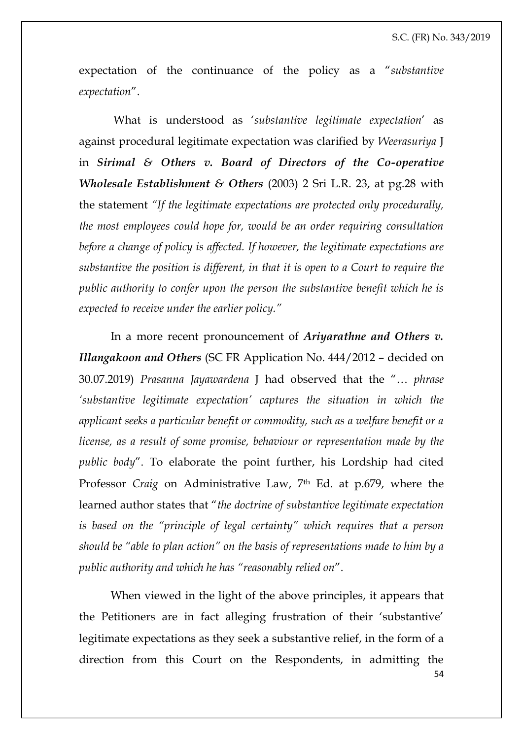expectation of the continuance of the policy as a "*substantive expectation*".

What is understood as '*substantive legitimate expectation*' as against procedural legitimate expectation was clarified by *Weerasuriya* J in *Sirimal & Others v. Board of Directors of the Co-operative Wholesale Establishment & Others* (2003) 2 Sri L.R. 23, at pg.28 with the statement *"If the legitimate expectations are protected only procedurally, the most employees could hope for, would be an order requiring consultation before a change of policy is affected. If however, the legitimate expectations are substantive the position is different, in that it is open to a Court to require the public authority to confer upon the person the substantive benefit which he is expected to receive under the earlier policy."*

In a more recent pronouncement of *Ariyarathne and Others v. Illangakoon and Others* (SC FR Application No. 444/2012 – decided on 30.07.2019) *Prasanna Jayawardena* J had observed that the "… *phrase 'substantive legitimate expectation' captures the situation in which the applicant seeks a particular benefit or commodity, such as a welfare benefit or a license, as a result of some promise, behaviour or representation made by the public body*". To elaborate the point further, his Lordship had cited Professor *Craig* on Administrative Law, 7th Ed. at p.679, where the learned author states that "*the doctrine of substantive legitimate expectation is based on the "principle of legal certainty" which requires that a person should be "able to plan action" on the basis of representations made to him by a public authority and which he has "reasonably relied on*".

54 When viewed in the light of the above principles, it appears that the Petitioners are in fact alleging frustration of their 'substantive' legitimate expectations as they seek a substantive relief, in the form of a direction from this Court on the Respondents, in admitting the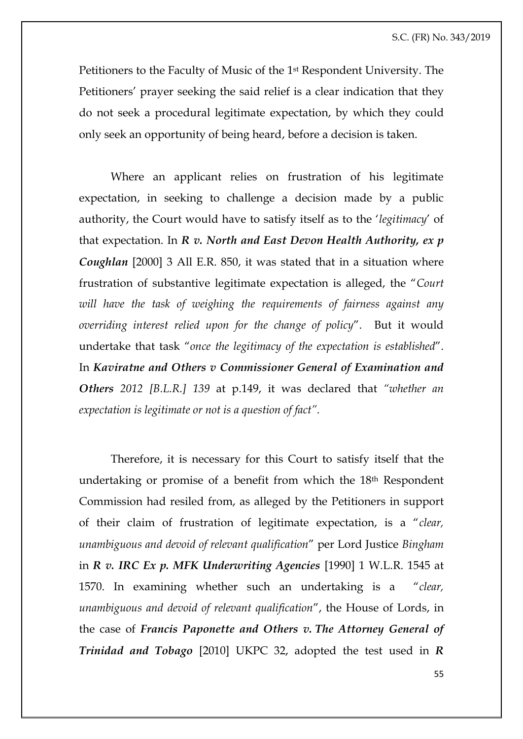Petitioners to the Faculty of Music of the 1st Respondent University. The Petitioners' prayer seeking the said relief is a clear indication that they do not seek a procedural legitimate expectation, by which they could only seek an opportunity of being heard, before a decision is taken.

Where an applicant relies on frustration of his legitimate expectation, in seeking to challenge a decision made by a public authority, the Court would have to satisfy itself as to the '*legitimacy*' of that expectation. In *R v. North and East Devon Health Authority, ex p Coughlan* [2000] 3 All E.R. 850, it was stated that in a situation where frustration of substantive legitimate expectation is alleged, the "*Court will have the task of weighing the requirements of fairness against any overriding interest relied upon for the change of policy*". But it would undertake that task "*once the legitimacy of the expectation is established*". In *Kaviratne and Others v Commissioner General of Examination and Others 2012 [B.L.R.] 139* at p.149, it was declared that *"whether an expectation is legitimate or not is a question of fact".* 

Therefore, it is necessary for this Court to satisfy itself that the undertaking or promise of a benefit from which the 18th Respondent Commission had resiled from, as alleged by the Petitioners in support of their claim of frustration of legitimate expectation, is a "*clear, unambiguous and devoid of relevant qualification*" per Lord Justice *Bingham* in *R v. IRC Ex p. MFK Underwriting Agencies* [1990] 1 W.L.R. 1545 at 1570. In examining whether such an undertaking is a "*clear, unambiguous and devoid of relevant qualification*", the House of Lords, in the case of *Francis Paponette and Others v. The Attorney General of Trinidad and Tobago* [2010] UKPC 32, adopted the test used in *R*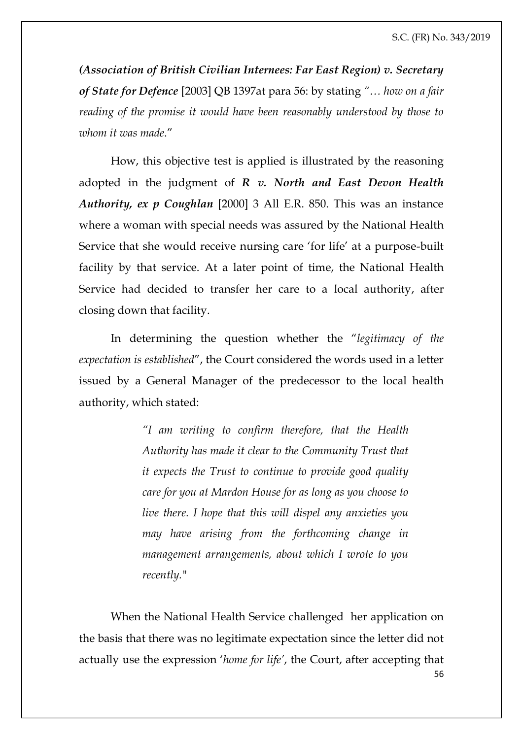*(Association of British Civilian Internees: Far East Region) v. Secretary of State for Defence* [2003] QB 1397at para 56: by stating *"… how on a fair reading of the promise it would have been reasonably understood by those to whom it was made*."

How, this objective test is applied is illustrated by the reasoning adopted in the judgment of *R v. North and East Devon Health Authority, ex p Coughlan* [2000] 3 All E.R. 850. This was an instance where a woman with special needs was assured by the National Health Service that she would receive nursing care 'for life' at a purpose-built facility by that service. At a later point of time, the National Health Service had decided to transfer her care to a local authority, after closing down that facility.

In determining the question whether the "*legitimacy of the expectation is established*", the Court considered the words used in a letter issued by a General Manager of the predecessor to the local health authority, which stated:

> *"I am writing to confirm therefore, that the Health Authority has made it clear to the Community Trust that it expects the Trust to continue to provide good quality care for you at Mardon House for as long as you choose to live there. I hope that this will dispel any anxieties you may have arising from the forthcoming change in management arrangements, about which I wrote to you recently."*

56 When the National Health Service challenged her application on the basis that there was no legitimate expectation since the letter did not actually use the expression '*home for life'*, the Court, after accepting that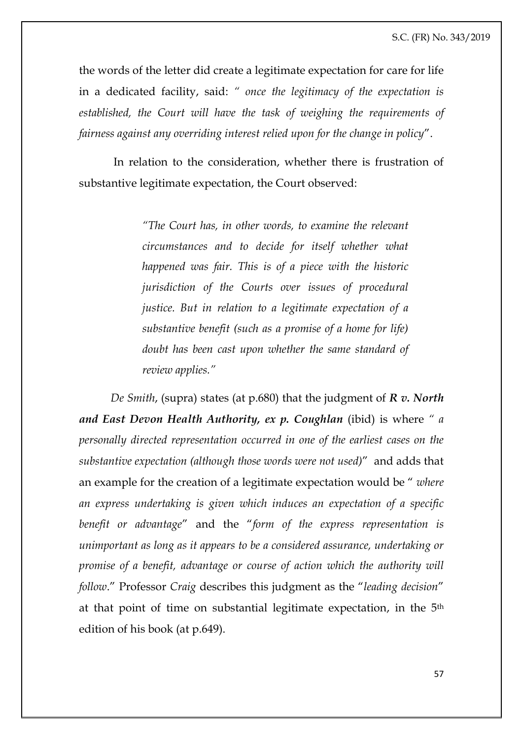the words of the letter did create a legitimate expectation for care for life in a dedicated facility, said: *" once the legitimacy of the expectation is established, the Court will have the task of weighing the requirements of fairness against any overriding interest relied upon for the change in policy*".

In relation to the consideration, whether there is frustration of substantive legitimate expectation, the Court observed:

> *"The Court has, in other words, to examine the relevant circumstances and to decide for itself whether what happened was fair. This is of a piece with the historic jurisdiction of the Courts over issues of procedural justice. But in relation to a legitimate expectation of a substantive benefit (such as a promise of a home for life) doubt has been cast upon whether the same standard of review applies."*

*De Smith*, (supra) states (at p.680) that the judgment of *R v. North and East Devon Health Authority, ex p. Coughlan* (ibid) is where *" a personally directed representation occurred in one of the earliest cases on the substantive expectation (although those words were not used)*" and adds that an example for the creation of a legitimate expectation would be " *where an express undertaking is given which induces an expectation of a specific benefit or advantage*" and the "*form of the express representation is unimportant as long as it appears to be a considered assurance, undertaking or promise of a benefit, advantage or course of action which the authority will follow*." Professor *Craig* describes this judgment as the "*leading decision*" at that point of time on substantial legitimate expectation, in the 5th edition of his book (at p.649).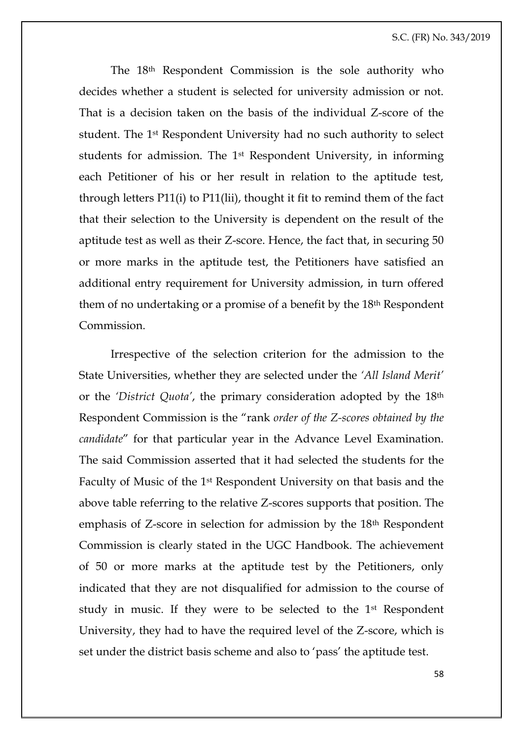The 18th Respondent Commission is the sole authority who decides whether a student is selected for university admission or not. That is a decision taken on the basis of the individual Z-score of the student. The 1st Respondent University had no such authority to select students for admission. The 1st Respondent University, in informing each Petitioner of his or her result in relation to the aptitude test, through letters P11(i) to P11(lii), thought it fit to remind them of the fact that their selection to the University is dependent on the result of the aptitude test as well as their Z-score. Hence, the fact that, in securing 50 or more marks in the aptitude test, the Petitioners have satisfied an additional entry requirement for University admission, in turn offered them of no undertaking or a promise of a benefit by the 18th Respondent Commission.

Irrespective of the selection criterion for the admission to the State Universities, whether they are selected under the *'All Island Merit'* or the *'District Quota'*, the primary consideration adopted by the 18th Respondent Commission is the "rank *order of the Z-scores obtained by the candidate*" for that particular year in the Advance Level Examination. The said Commission asserted that it had selected the students for the Faculty of Music of the 1st Respondent University on that basis and the above table referring to the relative Z-scores supports that position. The emphasis of Z-score in selection for admission by the 18th Respondent Commission is clearly stated in the UGC Handbook. The achievement of 50 or more marks at the aptitude test by the Petitioners, only indicated that they are not disqualified for admission to the course of study in music. If they were to be selected to the 1st Respondent University, they had to have the required level of the Z-score, which is set under the district basis scheme and also to 'pass' the aptitude test.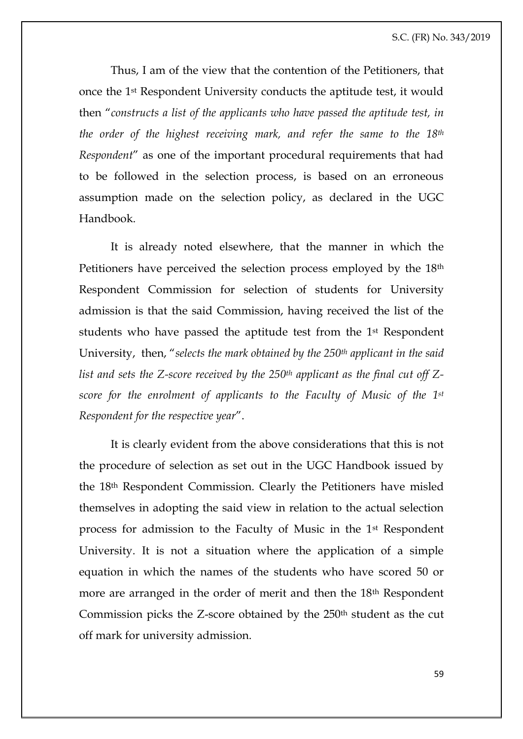Thus, I am of the view that the contention of the Petitioners, that once the 1st Respondent University conducts the aptitude test, it would then "*constructs a list of the applicants who have passed the aptitude test, in the order of the highest receiving mark, and refer the same to the 18th Respondent*" as one of the important procedural requirements that had to be followed in the selection process, is based on an erroneous assumption made on the selection policy, as declared in the UGC Handbook.

It is already noted elsewhere, that the manner in which the Petitioners have perceived the selection process employed by the 18th Respondent Commission for selection of students for University admission is that the said Commission, having received the list of the students who have passed the aptitude test from the 1st Respondent University, then, "*selects the mark obtained by the 250th applicant in the said list and sets the Z-score received by the 250th applicant as the final cut off Zscore for the enrolment of applicants to the Faculty of Music of the 1st Respondent for the respective year*".

It is clearly evident from the above considerations that this is not the procedure of selection as set out in the UGC Handbook issued by the 18th Respondent Commission. Clearly the Petitioners have misled themselves in adopting the said view in relation to the actual selection process for admission to the Faculty of Music in the 1st Respondent University. It is not a situation where the application of a simple equation in which the names of the students who have scored 50 or more are arranged in the order of merit and then the 18th Respondent Commission picks the Z-score obtained by the 250th student as the cut off mark for university admission.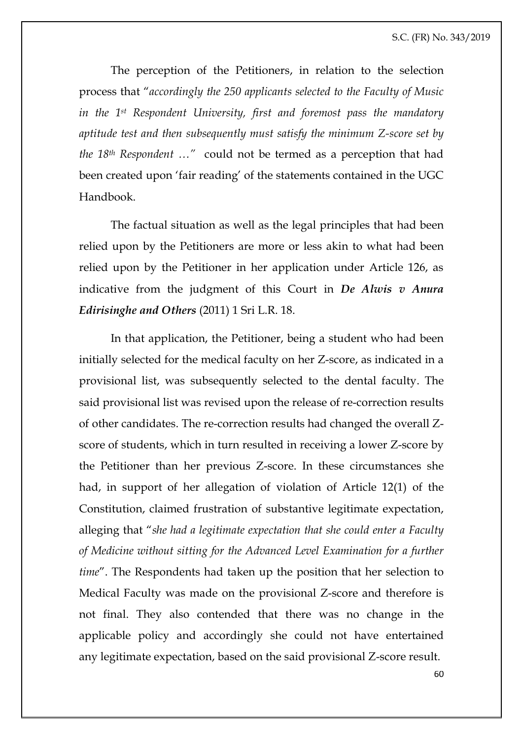The perception of the Petitioners, in relation to the selection process that "*accordingly the 250 applicants selected to the Faculty of Music in the 1st Respondent University, first and foremost pass the mandatory aptitude test and then subsequently must satisfy the minimum Z-score set by the 18th Respondent …"* could not be termed as a perception that had been created upon 'fair reading' of the statements contained in the UGC Handbook.

The factual situation as well as the legal principles that had been relied upon by the Petitioners are more or less akin to what had been relied upon by the Petitioner in her application under Article 126, as indicative from the judgment of this Court in *De Alwis v Anura Edirisinghe and Others* (2011) 1 Sri L.R. 18.

In that application, the Petitioner, being a student who had been initially selected for the medical faculty on her Z-score, as indicated in a provisional list, was subsequently selected to the dental faculty. The said provisional list was revised upon the release of re-correction results of other candidates. The re-correction results had changed the overall Zscore of students, which in turn resulted in receiving a lower Z-score by the Petitioner than her previous Z-score. In these circumstances she had, in support of her allegation of violation of Article 12(1) of the Constitution, claimed frustration of substantive legitimate expectation, alleging that "*she had a legitimate expectation that she could enter a Faculty of Medicine without sitting for the Advanced Level Examination for a further time*". The Respondents had taken up the position that her selection to Medical Faculty was made on the provisional Z-score and therefore is not final. They also contended that there was no change in the applicable policy and accordingly she could not have entertained any legitimate expectation, based on the said provisional Z-score result.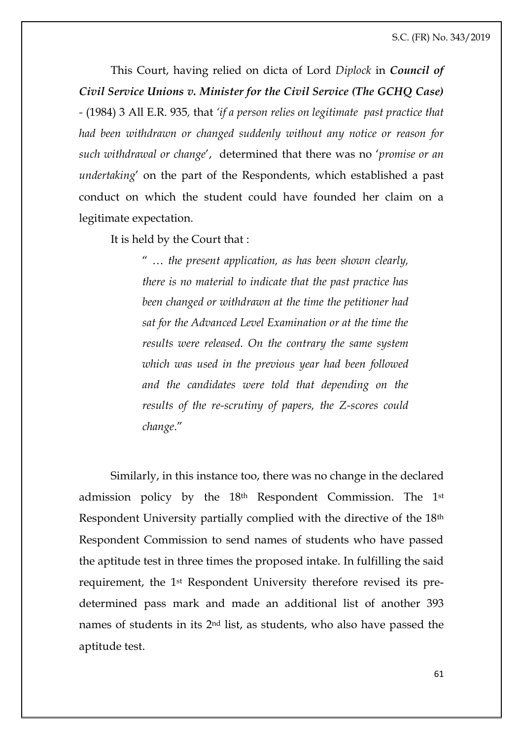This Court, having relied on dicta of Lord *Diplock* in *Council of Civil Service Unions v. Minister for the Civil Service (The GCHQ Case) -* (1984) 3 All E.R. 935*,* that *'if a person relies on legitimate past practice that had been withdrawn or changed suddenly without any notice or reason for such withdrawal or change*', determined that there was no '*promise or an undertaking*' on the part of the Respondents, which established a past conduct on which the student could have founded her claim on a legitimate expectation.

It is held by the Court that :

" … *the present application, as has been shown clearly, there is no material to indicate that the past practice has been changed or withdrawn at the time the petitioner had sat for the Advanced Level Examination or at the time the results were released. On the contrary the same system which was used in the previous year had been followed and the candidates were told that depending on the results of the re-scrutiny of papers, the Z-scores could change*."

Similarly, in this instance too, there was no change in the declared admission policy by the 18th Respondent Commission. The 1st Respondent University partially complied with the directive of the 18th Respondent Commission to send names of students who have passed the aptitude test in three times the proposed intake. In fulfilling the said requirement, the 1st Respondent University therefore revised its predetermined pass mark and made an additional list of another 393 names of students in its 2nd list, as students, who also have passed the aptitude test.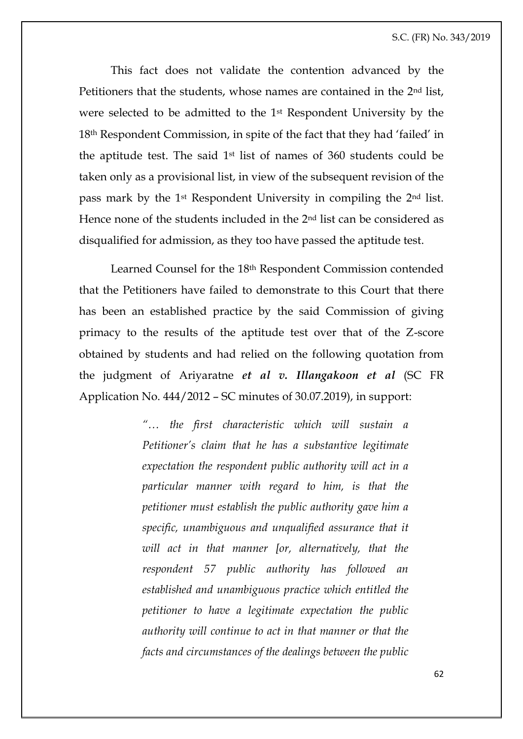This fact does not validate the contention advanced by the Petitioners that the students, whose names are contained in the 2nd list, were selected to be admitted to the 1st Respondent University by the 18th Respondent Commission, in spite of the fact that they had 'failed' in the aptitude test. The said 1st list of names of 360 students could be taken only as a provisional list, in view of the subsequent revision of the pass mark by the 1st Respondent University in compiling the 2nd list. Hence none of the students included in the 2nd list can be considered as disqualified for admission, as they too have passed the aptitude test.

Learned Counsel for the 18th Respondent Commission contended that the Petitioners have failed to demonstrate to this Court that there has been an established practice by the said Commission of giving primacy to the results of the aptitude test over that of the Z-score obtained by students and had relied on the following quotation from the judgment of Ariyaratne *et al v. Illangakoon et al* (SC FR Application No. 444/2012 – SC minutes of 30.07.2019), in support:

> *"… the first characteristic which will sustain a Petitioner's claim that he has a substantive legitimate expectation the respondent public authority will act in a particular manner with regard to him, is that the petitioner must establish the public authority gave him a specific, unambiguous and unqualified assurance that it will act in that manner [or, alternatively, that the respondent 57 public authority has followed an established and unambiguous practice which entitled the petitioner to have a legitimate expectation the public authority will continue to act in that manner or that the facts and circumstances of the dealings between the public*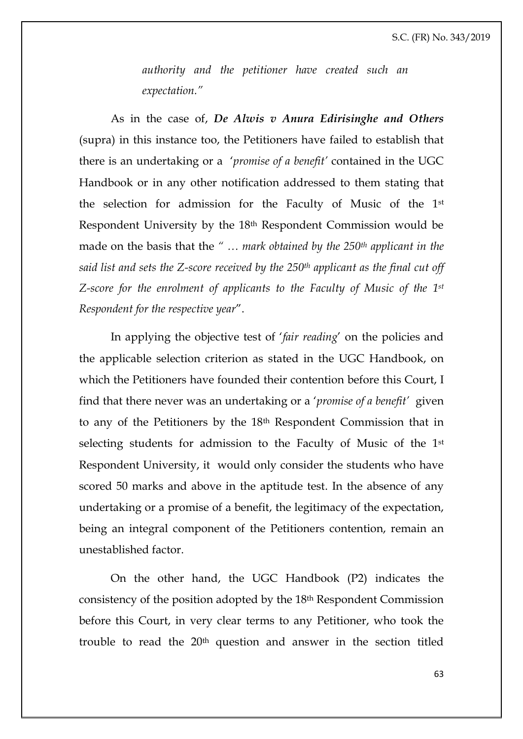*authority and the petitioner have created such an expectation."*

As in the case of, *De Alwis v Anura Edirisinghe and Others* (supra) in this instance too, the Petitioners have failed to establish that there is an undertaking or a '*promise of a benefit'* contained in the UGC Handbook or in any other notification addressed to them stating that the selection for admission for the Faculty of Music of the 1st Respondent University by the 18th Respondent Commission would be made on the basis that the *" … mark obtained by the 250th applicant in the said list and sets the Z-score received by the 250th applicant as the final cut off Z-score for the enrolment of applicants to the Faculty of Music of the 1st Respondent for the respective year*".

In applying the objective test of '*fair reading*' on the policies and the applicable selection criterion as stated in the UGC Handbook, on which the Petitioners have founded their contention before this Court, I find that there never was an undertaking or a '*promise of a benefit'* given to any of the Petitioners by the 18th Respondent Commission that in selecting students for admission to the Faculty of Music of the 1st Respondent University, it would only consider the students who have scored 50 marks and above in the aptitude test. In the absence of any undertaking or a promise of a benefit, the legitimacy of the expectation, being an integral component of the Petitioners contention, remain an unestablished factor.

On the other hand, the UGC Handbook (P2) indicates the consistency of the position adopted by the 18th Respondent Commission before this Court, in very clear terms to any Petitioner, who took the trouble to read the 20th question and answer in the section titled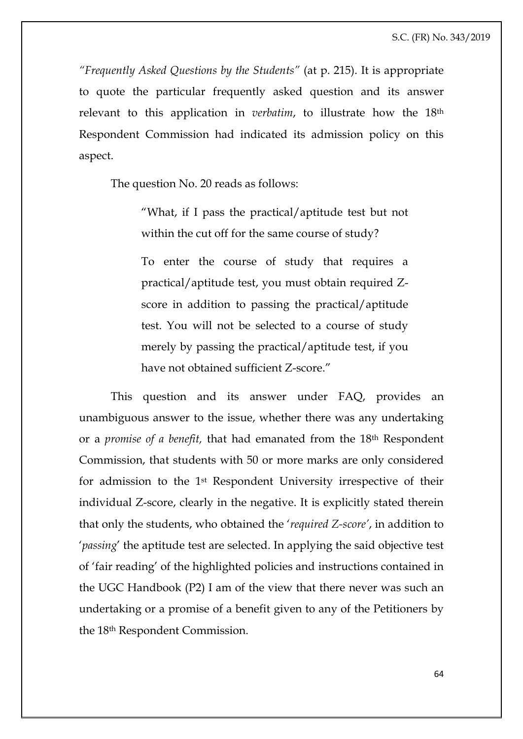*"Frequently Asked Questions by the Students"* (at p. 215). It is appropriate to quote the particular frequently asked question and its answer relevant to this application in *verbatim*, to illustrate how the 18th Respondent Commission had indicated its admission policy on this aspect.

The question No. 20 reads as follows:

"What, if I pass the practical/aptitude test but not within the cut off for the same course of study?

To enter the course of study that requires a practical/aptitude test, you must obtain required Zscore in addition to passing the practical/aptitude test. You will not be selected to a course of study merely by passing the practical/aptitude test, if you have not obtained sufficient Z-score."

This question and its answer under FAQ, provides an unambiguous answer to the issue, whether there was any undertaking or a *promise of a benefit,* that had emanated from the 18th Respondent Commission, that students with 50 or more marks are only considered for admission to the 1st Respondent University irrespective of their individual Z-score, clearly in the negative. It is explicitly stated therein that only the students, who obtained the '*required Z-score'*, in addition to '*passing*' the aptitude test are selected. In applying the said objective test of 'fair reading' of the highlighted policies and instructions contained in the UGC Handbook (P2) I am of the view that there never was such an undertaking or a promise of a benefit given to any of the Petitioners by the 18th Respondent Commission.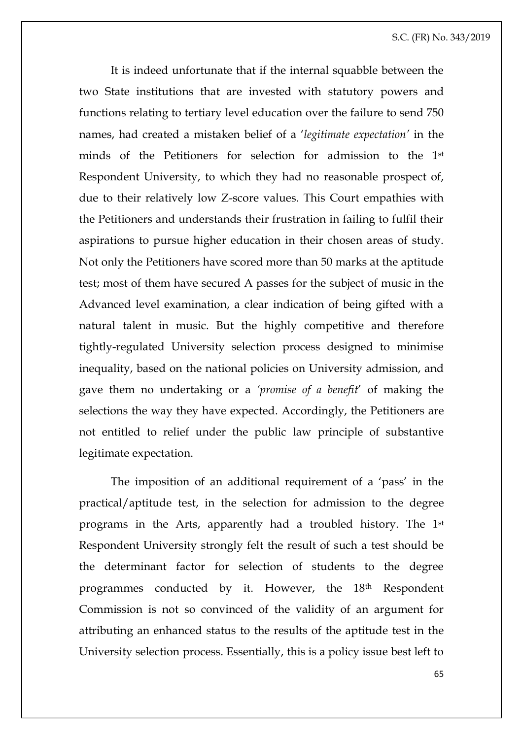It is indeed unfortunate that if the internal squabble between the two State institutions that are invested with statutory powers and functions relating to tertiary level education over the failure to send 750 names, had created a mistaken belief of a '*legitimate expectation'* in the minds of the Petitioners for selection for admission to the 1st Respondent University, to which they had no reasonable prospect of, due to their relatively low Z-score values. This Court empathies with the Petitioners and understands their frustration in failing to fulfil their aspirations to pursue higher education in their chosen areas of study. Not only the Petitioners have scored more than 50 marks at the aptitude test; most of them have secured A passes for the subject of music in the Advanced level examination, a clear indication of being gifted with a natural talent in music. But the highly competitive and therefore tightly-regulated University selection process designed to minimise inequality, based on the national policies on University admission, and gave them no undertaking or a *'promise of a benefit*' of making the selections the way they have expected. Accordingly, the Petitioners are not entitled to relief under the public law principle of substantive legitimate expectation.

The imposition of an additional requirement of a 'pass' in the practical/aptitude test, in the selection for admission to the degree programs in the Arts, apparently had a troubled history. The 1st Respondent University strongly felt the result of such a test should be the determinant factor for selection of students to the degree programmes conducted by it. However, the 18<sup>th</sup> Respondent Commission is not so convinced of the validity of an argument for attributing an enhanced status to the results of the aptitude test in the University selection process. Essentially, this is a policy issue best left to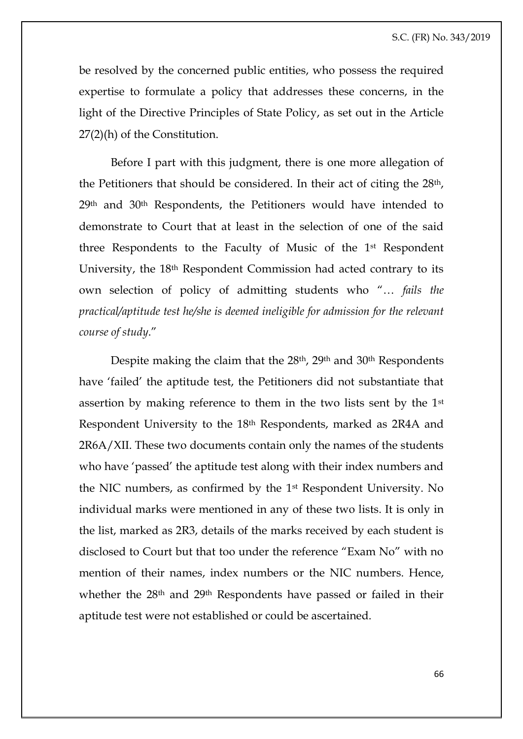be resolved by the concerned public entities, who possess the required expertise to formulate a policy that addresses these concerns, in the light of the Directive Principles of State Policy, as set out in the Article 27(2)(h) of the Constitution.

Before I part with this judgment, there is one more allegation of the Petitioners that should be considered. In their act of citing the 28th, 29th and 30th Respondents, the Petitioners would have intended to demonstrate to Court that at least in the selection of one of the said three Respondents to the Faculty of Music of the 1st Respondent University, the 18th Respondent Commission had acted contrary to its own selection of policy of admitting students who "… *fails the practical/aptitude test he/she is deemed ineligible for admission for the relevant course of study*."

Despite making the claim that the 28th, 29th and 30th Respondents have 'failed' the aptitude test, the Petitioners did not substantiate that assertion by making reference to them in the two lists sent by the 1st Respondent University to the 18th Respondents, marked as 2R4A and 2R6A/XII. These two documents contain only the names of the students who have 'passed' the aptitude test along with their index numbers and the NIC numbers, as confirmed by the 1st Respondent University. No individual marks were mentioned in any of these two lists. It is only in the list, marked as 2R3, details of the marks received by each student is disclosed to Court but that too under the reference "Exam No" with no mention of their names, index numbers or the NIC numbers. Hence, whether the 28<sup>th</sup> and 29<sup>th</sup> Respondents have passed or failed in their aptitude test were not established or could be ascertained.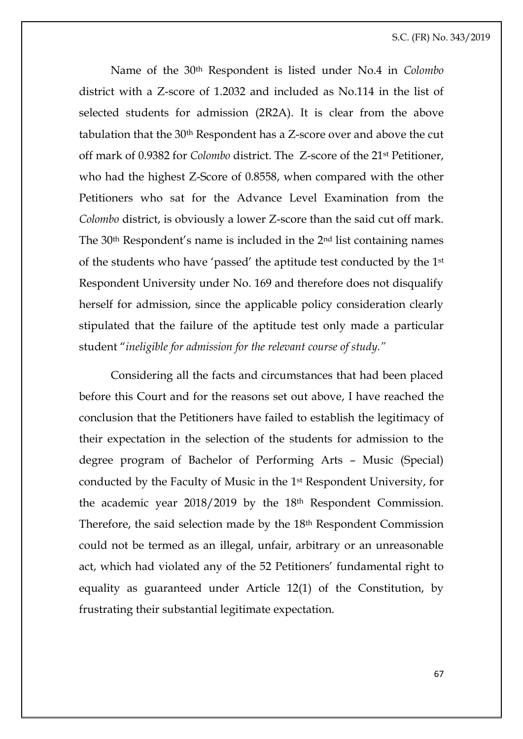Name of the 30th Respondent is listed under No.4 in *Colombo* district with a Z-score of 1.2032 and included as No.114 in the list of selected students for admission (2R2A). It is clear from the above tabulation that the 30th Respondent has a Z-score over and above the cut off mark of 0.9382 for *Colombo* district. The Z-score of the 21st Petitioner, who had the highest Z-Score of 0.8558, when compared with the other Petitioners who sat for the Advance Level Examination from the *Colombo* district, is obviously a lower Z-score than the said cut off mark. The 30th Respondent's name is included in the 2nd list containing names of the students who have 'passed' the aptitude test conducted by the 1st Respondent University under No. 169 and therefore does not disqualify herself for admission, since the applicable policy consideration clearly stipulated that the failure of the aptitude test only made a particular student "*ineligible for admission for the relevant course of study."*

Considering all the facts and circumstances that had been placed before this Court and for the reasons set out above, I have reached the conclusion that the Petitioners have failed to establish the legitimacy of their expectation in the selection of the students for admission to the degree program of Bachelor of Performing Arts – Music (Special) conducted by the Faculty of Music in the 1st Respondent University, for the academic year 2018/2019 by the 18th Respondent Commission. Therefore, the said selection made by the 18<sup>th</sup> Respondent Commission could not be termed as an illegal, unfair, arbitrary or an unreasonable act, which had violated any of the 52 Petitioners' fundamental right to equality as guaranteed under Article 12(1) of the Constitution, by frustrating their substantial legitimate expectation.